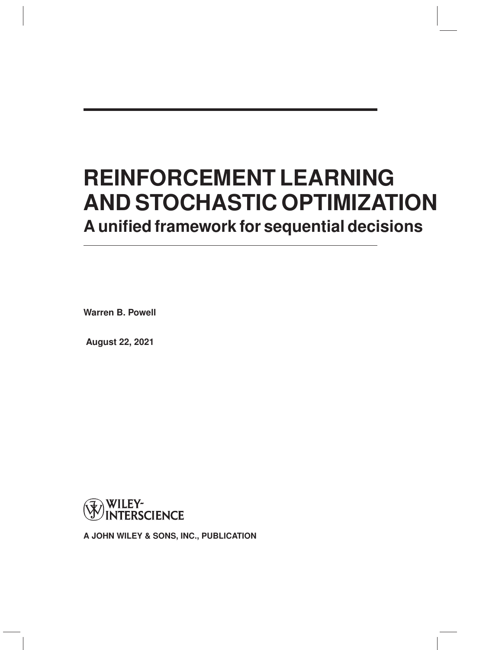# **REINFORCEMENT LEARNING AND STOCHASTIC OPTIMIZATION A unified framework for sequential decisions**

**Warren B. Powell**

**August 22, 2021**



**A JOHN WILEY & SONS, INC., PUBLICATION**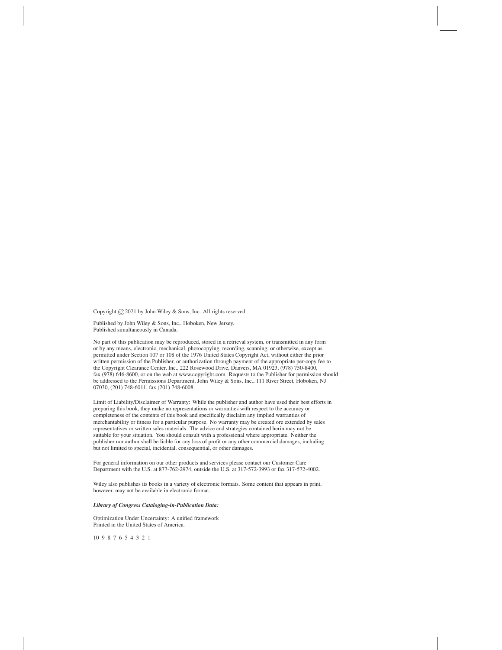Copyright  $\odot$  2021 by John Wiley & Sons, Inc. All rights reserved.

Published by John Wiley & Sons, Inc., Hoboken, New Jersey. Published simultaneously in Canada.

No part of this publication may be reproduced, stored in a retrieval system, or transmitted in any form or by any means, electronic, mechanical, photocopying, recording, scanning, or otherwise, except as permitted under Section 107 or 108 of the 1976 United States Copyright Act, without either the prior written permission of the Publisher, or authorization through payment of the appropriate per-copy fee to the Copyright Clearance Center, Inc., 222 Rosewood Drive, Danvers, MA 01923, (978) 750-8400, fax (978) 646-8600, or on the web at www.copyright.com. Requests to the Publisher for permission should be addressed to the Permissions Department, John Wiley & Sons, Inc., 111 River Street, Hoboken, NJ 07030, (201) 748-6011, fax (201) 748-6008.

Limit of Liability/Disclaimer of Warranty: While the publisher and author have used their best efforts in preparing this book, they make no representations or warranties with respect to the accuracy or completeness of the contents of this book and specifically disclaim any implied warranties of merchantability or fitness for a particular purpose. No warranty may be created ore extended by sales representatives or written sales materials. The advice and strategies contained herin may not be suitable for your situation. You should consult with a professional where appropriate. Neither the publisher nor author shall be liable for any loss of profit or any other commercial damages, including but not limited to special, incidental, consequential, or other damages.

For general information on our other products and services please contact our Customer Care Department with the U.S. at 877-762-2974, outside the U.S. at 317-572-3993 or fax 317-572-4002.

Wiley also publishes its books in a variety of electronic formats. Some content that appears in print, however, may not be available in electronic format.

#### *Library of Congress Cataloging-in-Publication Data:*

Optimization Under Uncertainty: A unified framework Printed in the United States of America.

10 9 8 7 6 5 4 3 2 1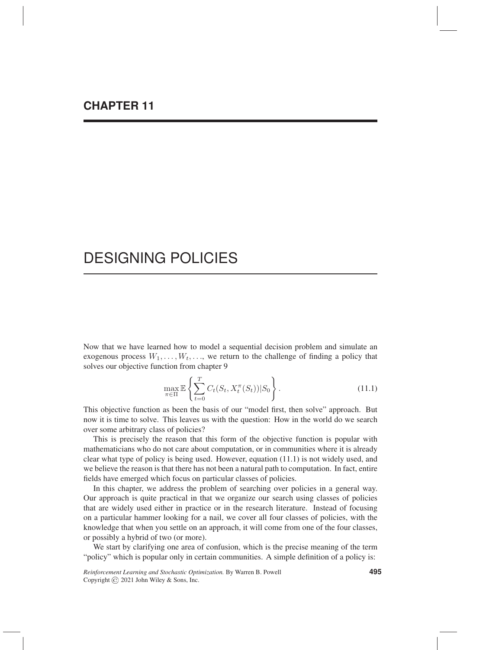# <u>DESIGNING POLICIES</u>

Now that we have learned how to model a sequential decision problem and simulate an exogenous process  $W_1, \ldots, W_t, \ldots$ , we return to the challenge of finding a policy that solves our objective function from chapter 9

$$
\max_{\pi \in \Pi} \mathbb{E} \left\{ \sum_{t=0}^{T} C_t(S_t, X_t^{\pi}(S_t)) | S_0 \right\}.
$$
 (11.1)

This objective function as been the basis of our "model first, then solve" approach. But now it is time to solve. This leaves us with the question: How in the world do we search over some arbitrary class of policies?

This is precisely the reason that this form of the objective function is popular with mathematicians who do not care about computation, or in communities where it is already clear what type of policy is being used. However, equation (11.1) is not widely used, and we believe the reason is that there has not been a natural path to computation. In fact, entire fields have emerged which focus on particular classes of policies.

In this chapter, we address the problem of searching over policies in a general way. Our approach is quite practical in that we organize our search using classes of policies that are widely used either in practice or in the research literature. Instead of focusing on a particular hammer looking for a nail, we cover all four classes of policies, with the knowledge that when you settle on an approach, it will come from one of the four classes, or possibly a hybrid of two (or more).

We start by clarifying one area of confusion, which is the precise meaning of the term "policy" which is popular only in certain communities. A simple definition of a policy is:

*Reinforcement Learning and Stochastic Optimization.* By Warren B. Powell Copyright  $\circled{c}$  2021 John Wiley & Sons, Inc.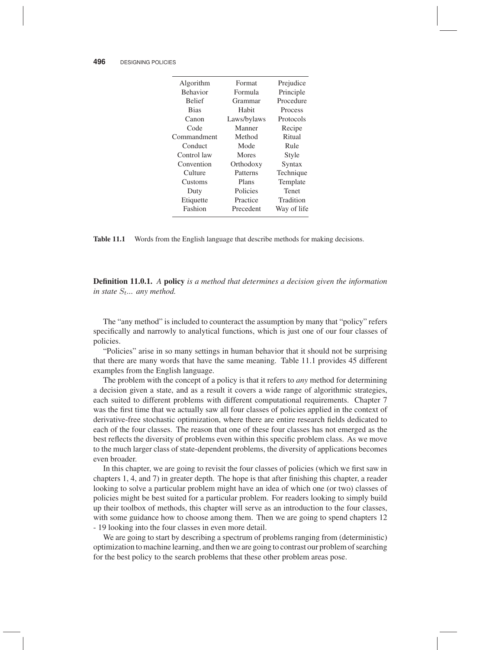| Algorithm            | Format      | Prejudice    |  |
|----------------------|-------------|--------------|--|
| <b>Behavior</b>      | Formula     | Principle    |  |
| <b>Belief</b>        | Grammar     | Procedure    |  |
| <b>Bias</b>          | Habit       | Process      |  |
| Canon                | Laws/bylaws | Protocols    |  |
| Code                 | Manner      | Recipe       |  |
| Commandment          | Method      | Ritual       |  |
| Conduct              | Mode        | Rule         |  |
| Control law          | Mores       | Style        |  |
| Convention           | Orthodoxy   | Syntax       |  |
| Culture              | Patterns    | Technique    |  |
| Customs              | Plans       | Template     |  |
| Duty                 | Policies    | <b>Tenet</b> |  |
| Etiquette            | Practice    | Tradition    |  |
| Fashion<br>Precedent |             | Way of life  |  |
|                      |             |              |  |

Table 11.1 Words from the English language that describe methods for making decisions.

Definition 11.0.1. *A* policy *is a method that determines a decision given the information in state*  $S_t$ ... *any method.* 

The "any method" is included to counteract the assumption by many that "policy" refers specifically and narrowly to analytical functions, which is just one of our four classes of policies.

"Policies" arise in so many settings in human behavior that it should not be surprising that there are many words that have the same meaning. Table 11.1 provides 45 different examples from the English language.

The problem with the concept of a policy is that it refers to *any* method for determining a decision given a state, and as a result it covers a wide range of algorithmic strategies, each suited to different problems with different computational requirements. Chapter 7 was the first time that we actually saw all four classes of policies applied in the context of derivative-free stochastic optimization, where there are entire research fields dedicated to each of the four classes. The reason that one of these four classes has not emerged as the best reflects the diversity of problems even within this specific problem class. As we move to the much larger class of state-dependent problems, the diversity of applications becomes even broader.

In this chapter, we are going to revisit the four classes of policies (which we first saw in chapters 1, 4, and 7) in greater depth. The hope is that after finishing this chapter, a reader looking to solve a particular problem might have an idea of which one (or two) classes of policies might be best suited for a particular problem. For readers looking to simply build up their toolbox of methods, this chapter will serve as an introduction to the four classes, with some guidance how to choose among them. Then we are going to spend chapters 12 - 19 looking into the four classes in even more detail.

We are going to start by describing a spectrum of problems ranging from (deterministic) optimization to machine learning, and then we are going to contrast our problem of searching for the best policy to the search problems that these other problem areas pose.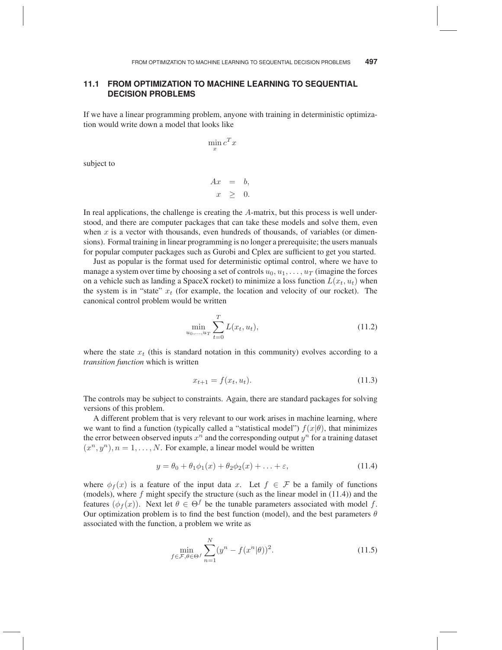# **11.1 FROM OPTIMIZATION TO MACHINE LEARNING TO SEQUENTIAL DECISION PROBLEMS**

If we have a linear programming problem, anyone with training in deterministic optimization would write down a model that looks like

$$
\min_x c^T x
$$

subject to

$$
Ax = b,
$$
  

$$
x \geq 0.
$$

In real applications, the challenge is creating the A-matrix, but this process is well understood, and there are computer packages that can take these models and solve them, even when  $x$  is a vector with thousands, even hundreds of thousands, of variables (or dimensions). Formal training in linear programming is no longer a prerequisite; the users manuals for popular computer packages such as Gurobi and Cplex are sufficient to get you started.

Just as popular is the format used for deterministic optimal control, where we have to manage a system over time by choosing a set of controls  $u_0, u_1, \ldots, u_T$  (imagine the forces on a vehicle such as landing a SpaceX rocket) to minimize a loss function  $L(x_t, u_t)$  when the system is in "state"  $x_t$  (for example, the location and velocity of our rocket). The canonical control problem would be written

$$
\min_{u_0, \dots, u_T} \sum_{t=0}^T L(x_t, u_t), \tag{11.2}
$$

where the state  $x_t$  (this is standard notation in this community) evolves according to a *transition function* which is written

$$
x_{t+1} = f(x_t, u_t). \tag{11.3}
$$

The controls may be subject to constraints. Again, there are standard packages for solving versions of this problem.

A different problem that is very relevant to our work arises in machine learning, where we want to find a function (typically called a "statistical model")  $f(x|\theta)$ , that minimizes the error between observed inputs  $x^n$  and the corresponding output  $y^n$  for a training dataset  $(x^n, y^n), n = 1, \ldots, N$ . For example, a linear model would be written

$$
y = \theta_0 + \theta_1 \phi_1(x) + \theta_2 \phi_2(x) + \ldots + \varepsilon,
$$
\n(11.4)

where  $\phi_f(x)$  is a feature of the input data x. Let  $f \in \mathcal{F}$  be a family of functions (models), where  $f$  might specify the structure (such as the linear model in  $(11.4)$ ) and the features  $(\phi_f(x))$ . Next let  $\theta \in \Theta^f$  be the tunable parameters associated with model f. Our optimization problem is to find the best function (model), and the best parameters  $\theta$ associated with the function, a problem we write as

$$
\min_{f \in \mathcal{F}, \theta \in \Theta^f} \sum_{n=1}^N (y^n - f(x^n|\theta))^2.
$$
\n(11.5)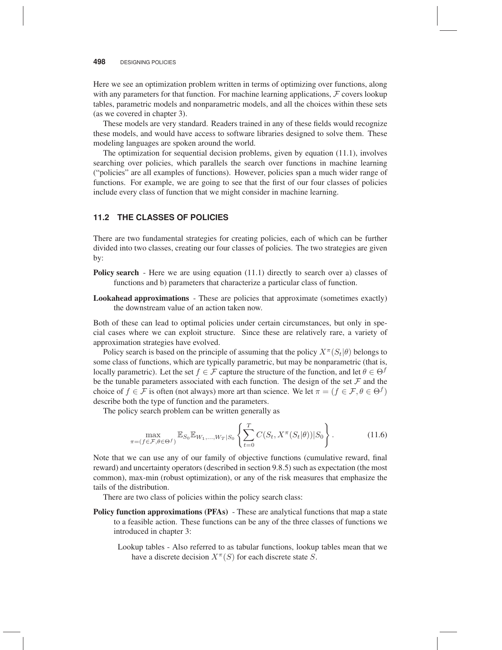Here we see an optimization problem written in terms of optimizing over functions, along with any parameters for that function. For machine learning applications,  $\mathcal F$  covers lookup tables, parametric models and nonparametric models, and all the choices within these sets (as we covered in chapter 3).

These models are very standard. Readers trained in any of these fields would recognize these models, and would have access to software libraries designed to solve them. These modeling languages are spoken around the world.

The optimization for sequential decision problems, given by equation (11.1), involves searching over policies, which parallels the search over functions in machine learning ("policies" are all examples of functions). However, policies span a much wider range of functions. For example, we are going to see that the first of our four classes of policies include every class of function that we might consider in machine learning.

# **11.2 THE CLASSES OF POLICIES**

There are two fundamental strategies for creating policies, each of which can be further divided into two classes, creating our four classes of policies. The two strategies are given by:

**Policy search** - Here we are using equation (11.1) directly to search over a) classes of functions and b) parameters that characterize a particular class of function.

Lookahead approximations - These are policies that approximate (sometimes exactly) the downstream value of an action taken now.

Both of these can lead to optimal policies under certain circumstances, but only in special cases where we can exploit structure. Since these are relatively rare, a variety of approximation strategies have evolved.

Policy search is based on the principle of assuming that the policy  $X^{\pi}(S_t|\theta)$  belongs to some class of functions, which are typically parametric, but may be nonparametric (that is, locally parametric). Let the set  $f \in \mathcal{F}$  capture the structure of the function, and let  $\theta \in \Theta^f$ be the tunable parameters associated with each function. The design of the set  $\mathcal F$  and the choice of  $f \in \mathcal{F}$  is often (not always) more art than science. We let  $\pi = (f \in \mathcal{F}, \theta \in \Theta^f)$ describe both the type of function and the parameters.

The policy search problem can be written generally as

$$
\max_{\pi = (f \in \mathcal{F}, \theta \in \Theta^f)} \mathbb{E}_{S_0} \mathbb{E}_{W_1, ..., W_T | S_0} \left\{ \sum_{t=0}^T C(S_t, X^{\pi}(S_t | \theta)) | S_0 \right\}.
$$
 (11.6)

Note that we can use any of our family of objective functions (cumulative reward, final reward) and uncertainty operators (described in section 9.8.5) such as expectation (the most common), max-min (robust optimization), or any of the risk measures that emphasize the tails of the distribution.

There are two class of policies within the policy search class:

- Policy function approximations (PFAs) These are analytical functions that map a state to a feasible action. These functions can be any of the three classes of functions we introduced in chapter 3:
	- Lookup tables Also referred to as tabular functions, lookup tables mean that we have a discrete decision  $X^{\pi}(S)$  for each discrete state S.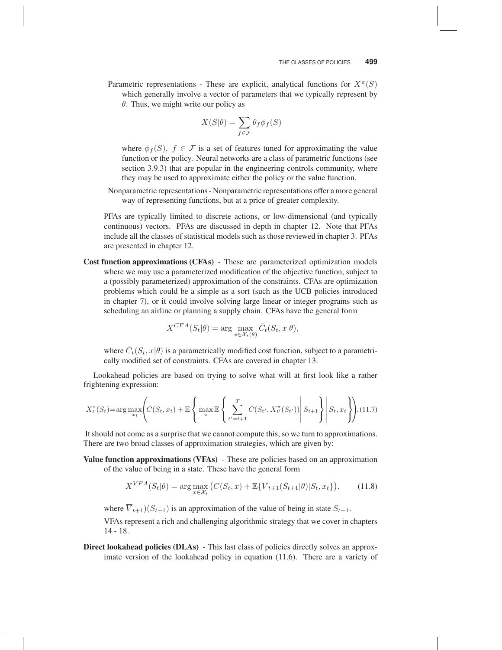Parametric representations - These are explicit, analytical functions for  $X^{\pi}(S)$ which generally involve a vector of parameters that we typically represent by  $\theta$ . Thus, we might write our policy as

$$
X(S|\theta) = \sum_{f \in \mathcal{F}} \theta_f \phi_f(S)
$$

where  $\phi_f(S)$ ,  $f \in \mathcal{F}$  is a set of features tuned for approximating the value function or the policy. Neural networks are a class of parametric functions (see section 3.9.3) that are popular in the engineering controls community, where they may be used to approximate either the policy or the value function.

Nonparametric representations - Nonparametric representations offer a more general way of representing functions, but at a price of greater complexity.

PFAs are typically limited to discrete actions, or low-dimensional (and typically continuous) vectors. PFAs are discussed in depth in chapter 12. Note that PFAs include all the classes of statistical models such as those reviewed in chapter 3. PFAs are presented in chapter 12.

Cost function approximations (CFAs) - These are parameterized optimization models where we may use a parameterized modification of the objective function, subject to a (possibly parameterized) approximation of the constraints. CFAs are optimization problems which could be a simple as a sort (such as the UCB policies introduced in chapter 7), or it could involve solving large linear or integer programs such as scheduling an airline or planning a supply chain. CFAs have the general form

$$
X^{CFA}(S_t|\theta) = \arg \max_{x \in \mathcal{X}_t(\theta)} \bar{C}_t(S_t, x|\theta),
$$

where  $\bar{C}_t(S_t, x | \theta)$  is a parametrically modified cost function, subject to a parametrically modified set of constraints. CFAs are covered in chapter 13.

Lookahead policies are based on trying to solve what will at first look like a rather frightening expression:

$$
X_t^*(S_t) = \arg \max_{x_t} \left( C(S_t, x_t) + \mathbb{E} \left\{ \max_{\pi} \mathbb{E} \left\{ \left. \sum_{t'=t+1}^T C(S_{t'}, X_{t'}^{\pi}(S_{t'})) \right| S_{t+1} \right\} \right| S_t, x_t \right\} \right). (11.7)
$$

It should not come as a surprise that we cannot compute this, so we turn to approximations. There are two broad classes of approximation strategies, which are given by:

Value function approximations (VFAs) - These are policies based on an approximation of the value of being in a state. These have the general form

$$
X^{VFA}(S_t|\theta) = \arg\max_{x \in \mathcal{X}_t} \left( C(S_t, x) + \mathbb{E}\{\overline{V}_{t+1}(S_{t+1}|\theta)|S_t, x_t\} \right). \tag{11.8}
$$

where  $\overline{V}_{t+1}(S_{t+1})$  is an approximation of the value of being in state  $S_{t+1}$ .

VFAs represent a rich and challenging algorithmic strategy that we cover in chapters 14 - 18.

Direct lookahead policies (DLAs) - This last class of policies directly solves an approximate version of the lookahead policy in equation (11.6). There are a variety of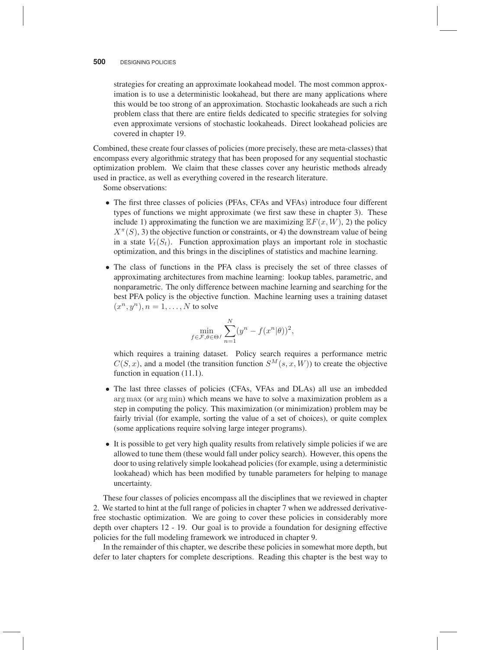strategies for creating an approximate lookahead model. The most common approximation is to use a deterministic lookahead, but there are many applications where this would be too strong of an approximation. Stochastic lookaheads are such a rich problem class that there are entire fields dedicated to specific strategies for solving even approximate versions of stochastic lookaheads. Direct lookahead policies are covered in chapter 19.

Combined, these create four classes of policies (more precisely, these are meta-classes) that encompass every algorithmic strategy that has been proposed for any sequential stochastic optimization problem. We claim that these classes cover any heuristic methods already used in practice, as well as everything covered in the research literature.

Some observations:

- The first three classes of policies (PFAs, CFAs and VFAs) introduce four different types of functions we might approximate (we first saw these in chapter 3). These include 1) approximating the function we are maximizing  $E F(x, W)$ , 2) the policy  $X^{\pi}(S)$ , 3) the objective function or constraints, or 4) the downstream value of being<br>in a state  $V(S)$ . Eunction approximation plays an important role in stochastic in a state  $V_t(S_t)$ . Function approximation plays an important role in stochastic optimization, and this brings in the disciplines of statistics and machine learning.
- The class of functions in the PFA class is precisely the set of three classes of approximating architectures from machine learning: lookup tables, parametric, and nonparametric. The only difference between machine learning and searching for the best PFA policy is the objective function. Machine learning uses a training dataset  $(x^n, y^n)$ ,  $n = 1, \ldots, N$  to solve

$$
\min_{f \in \mathcal{F}, \theta \in \Theta} \sum_{n=1}^{N} (y^n - f(x^n | \theta))^2,
$$

which requires a training dataset. Policy search requires a performance metric  $C(S, x)$ , and a model (the transition function  $S^M(s, x, W)$ ) to create the objective function in equation  $(11.1)$ .

- The last three classes of policies (CFAs, VFAs and DLAs) all use an imbedded arg max (or arg min) which means we have to solve a maximization problem as a step in computing the policy. This maximization (or minimization) problem may be fairly trivial (for example, sorting the value of a set of choices), or quite complex (some applications require solving large integer programs).
- It is possible to get very high quality results from relatively simple policies if we are allowed to tune them (these would fall under policy search). However, this opens the door to using relatively simple lookahead policies (for example, using a deterministic lookahead) which has been modified by tunable parameters for helping to manage uncertainty.

These four classes of policies encompass all the disciplines that we reviewed in chapter 2. We started to hint at the full range of policies in chapter 7 when we addressed derivativefree stochastic optimization. We are going to cover these policies in considerably more depth over chapters 12 - 19. Our goal is to provide a foundation for designing effective policies for the full modeling framework we introduced in chapter 9.

In the remainder of this chapter, we describe these policies in somewhat more depth, but defer to later chapters for complete descriptions. Reading this chapter is the best way to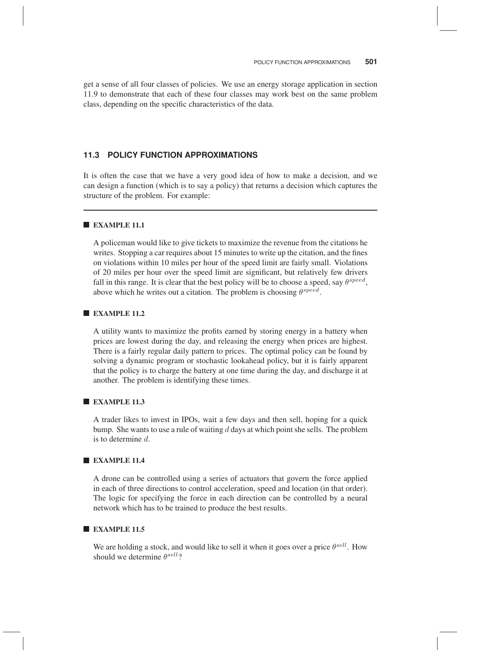get a sense of all four classes of policies. We use an energy storage application in section 11.9 to demonstrate that each of these four classes may work best on the same problem class, depending on the specific characteristics of the data.

# **11.3 POLICY FUNCTION APPROXIMATIONS**

It is often the case that we have a very good idea of how to make a decision, and we can design a function (which is to say a policy) that returns a decision which captures the structure of the problem. For example:

# EXAMPLE 11.1

A policeman would like to give tickets to maximize the revenue from the citations he writes. Stopping a car requires about 15 minutes to write up the citation, and the fines on violations within 10 miles per hour of the speed limit are fairly small. Violations of 20 miles per hour over the speed limit are significant, but relatively few drivers fall in this range. It is clear that the best policy will be to choose a speed, say  $\theta^{speed}$ , above which he writes out a citation. The problem is choosing  $\theta^{speed}$ .

# $\blacksquare$  EXAMPLE 11.2

A utility wants to maximize the profits earned by storing energy in a battery when prices are lowest during the day, and releasing the energy when prices are highest. There is a fairly regular daily pattern to prices. The optimal policy can be found by solving a dynamic program or stochastic lookahead policy, but it is fairly apparent that the policy is to charge the battery at one time during the day, and discharge it at another. The problem is identifying these times.

# EXAMPLE 11.3

A trader likes to invest in IPOs, wait a few days and then sell, hoping for a quick bump. She wants to use a rule of waiting  $d$  days at which point she sells. The problem is to determine d.

# EXAMPLE 11.4

A drone can be controlled using a series of actuators that govern the force applied in each of three directions to control acceleration, speed and location (in that order). The logic for specifying the force in each direction can be controlled by a neural network which has to be trained to produce the best results.

# EXAMPLE 11.5

We are holding a stock, and would like to sell it when it goes over a price  $\theta^{sell}$ . How should we determine  $\theta^{sell}$ ?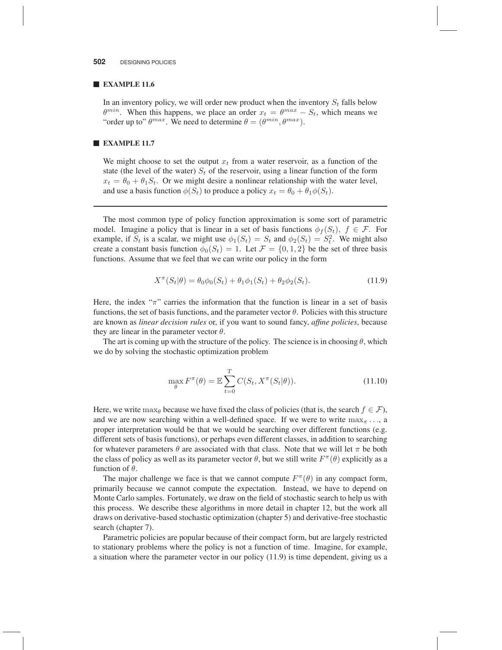#### EXAMPLE 11.6

In an inventory policy, we will order new product when the inventory  $S_t$  falls below  $\theta^{min}$ . When this happens, we place an order  $x_t = \theta^{max} - S_t$ , which means we "order up to"  $\theta^{max}$ . We need to determine  $\theta = (\theta^{min}, \theta^{max})$ .

# EXAMPLE 11.7

We might choose to set the output  $x_t$  from a water reservoir, as a function of the state (the level of the water)  $S_t$  of the reservoir, using a linear function of the form  $x_t = \theta_0 + \theta_1 S_t$ . Or we might desire a nonlinear relationship with the water level, and use a basis function  $\phi(S_t)$  to produce a policy  $x_t = \theta_0 + \theta_1 \phi(S_t)$ .

The most common type of policy function approximation is some sort of parametric model. Imagine a policy that is linear in a set of basis functions  $\phi_f(S_t)$ ,  $f \in \mathcal{F}$ . For example, if  $S_t$  is a scalar, we might use  $\phi_1(S_t) = S_t$  and  $\phi_2(S_t) = S_t^2$ . We might also create a constant basis function  $\phi_2(S_t) = 1$ . Let  $\mathcal{F} = \{0, 1, 2\}$  be the set of three basis create a constant basis function  $\phi_0(S_t)=1$ . Let  $\mathcal{F} = \{0, 1, 2\}$  be the set of three basis functions. Assume that we feel that we can write our policy in the form

$$
X^{\pi}(S_t|\theta) = \theta_0 \phi_0(S_t) + \theta_1 \phi_1(S_t) + \theta_2 \phi_2(S_t).
$$
 (11.9)

Here, the index " $\pi$ " carries the information that the function is linear in a set of basis functions, the set of basis functions, and the parameter vector  $\theta$ . Policies with this structure are known as *linear decision rules* or, if you want to sound fancy, *affine policies*, because they are linear in the parameter vector  $\theta$ .

The art is coming up with the structure of the policy. The science is in choosing  $\theta$ , which we do by solving the stochastic optimization problem

$$
\max_{\theta} F^{\pi}(\theta) = \mathbb{E} \sum_{t=0}^{T} C(S_t, X^{\pi}(S_t | \theta)).
$$
\n(11.10)

Here, we write max $\theta$  because we have fixed the class of policies (that is, the search  $f \in \mathcal{F}$ ), and we are now searching within a well-defined space. If we were to write  $\max_{\pi} \ldots$ , a proper interpretation would be that we would be searching over different functions (e.g. different sets of basis functions), or perhaps even different classes, in addition to searching for whatever parameters  $\theta$  are associated with that class. Note that we will let  $\pi$  be both the class of policy as well as its parameter vector  $\theta$ , but we still write  $F^{\pi}(\theta)$  explicitly as a function of  $\theta$ .

The major challenge we face is that we cannot compute  $F^{\pi}(\theta)$  in any compact form, primarily because we cannot compute the expectation. Instead, we have to depend on Monte Carlo samples. Fortunately, we draw on the field of stochastic search to help us with this process. We describe these algorithms in more detail in chapter 12, but the work all draws on derivative-based stochastic optimization (chapter 5) and derivative-free stochastic search (chapter 7).

Parametric policies are popular because of their compact form, but are largely restricted to stationary problems where the policy is not a function of time. Imagine, for example, a situation where the parameter vector in our policy (11.9) is time dependent, giving us a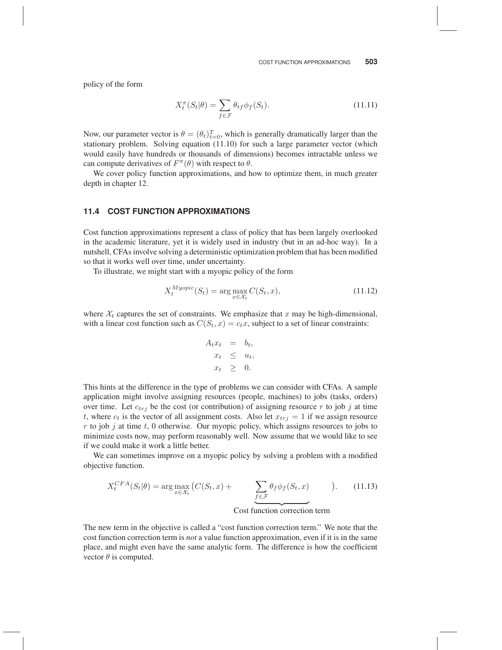policy of the form

$$
X_t^{\pi}(S_t|\theta) = \sum_{f \in \mathcal{F}} \theta_{tf} \phi_f(S_t). \tag{11.11}
$$

Now, our parameter vector is  $\theta = (\theta_t)_{t=0}^T$ , which is generally dramatically larger than the stationary problem. Solving equation (11.10) for such a large parameter vector (which stationary problem. Solving equation (11.10) for such a large parameter vector (which would easily have hundreds or thousands of dimensions) becomes intractable unless we can compute derivatives of  $F^{\pi}(\theta)$  with respect to  $\theta$ .

We cover policy function approximations, and how to optimize them, in much greater depth in chapter 12.

# **11.4 COST FUNCTION APPROXIMATIONS**

Cost function approximations represent a class of policy that has been largely overlooked in the academic literature, yet it is widely used in industry (but in an ad-hoc way). In a nutshell, CFAs involve solving a deterministic optimization problem that has been modified so that it works well over time, under uncertainty.

To illustrate, we might start with a myopic policy of the form

$$
X_t^{Myopic}(S_t) = \arg\max_{x \in \mathcal{X}_t} C(S_t, x),\tag{11.12}
$$

where  $\mathcal{X}_t$  captures the set of constraints. We emphasize that x may be high-dimensional, with a linear cost function such as  $C(S_t, x) = c_t x$ , subject to a set of linear constraints:

$$
A_t x_t = b_t,
$$
  
\n
$$
x_t \leq u_t,
$$
  
\n
$$
x_t \geq 0.
$$

This hints at the difference in the type of problems we can consider with CFAs. A sample application might involve assigning resources (people, machines) to jobs (tasks, orders) over time. Let  $c_{trj}$  be the cost (or contribution) of assigning resource r to job j at time t, where  $c_t$  is the vector of all assignment costs. Also let  $x_{trj} = 1$  if we assign resource r to job j at time t, 0 otherwise. Our myopic policy, which assigns resources to jobs to minimize costs now, may perform reasonably well. Now assume that we would like to see if we could make it work a little better.

We can sometimes improve on a myopic policy by solving a problem with a modified objective function.

$$
X_t^{CFA}(S_t|\theta) = \arg\max_{x \in \mathcal{X}_t} \left( C(S_t, x) + \sum_{\substack{f \in \mathcal{F} \\ \text{Cost function correction term}}} \theta_f \phi_f(S_t, x) \right). \tag{11.13}
$$

The new term in the objective is called a "cost function correction term." We note that the cost function correction term is *not* a value function approximation, even if it is in the same place, and might even have the same analytic form. The difference is how the coefficient vector  $\theta$  is computed.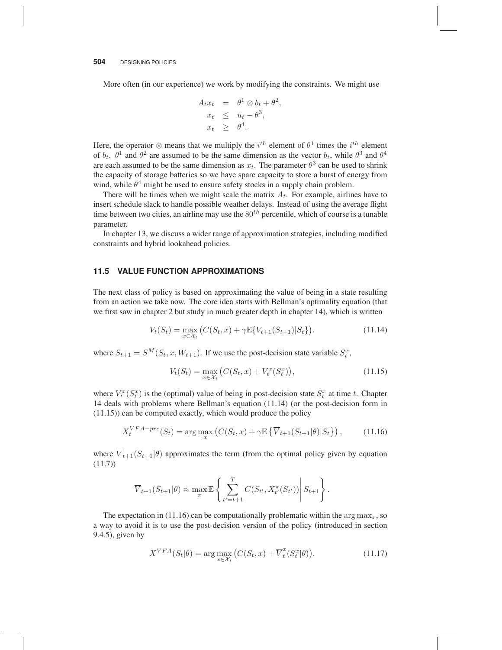More often (in our experience) we work by modifying the constraints. We might use

$$
A_t x_t = \theta^1 \otimes b_t + \theta^2,
$$
  
\n
$$
x_t \leq u_t - \theta^3,
$$
  
\n
$$
x_t \geq \theta^4.
$$

Here, the operator  $\otimes$  means that we multiply the  $i^{th}$  element of  $\theta^1$  times the  $i^{th}$  element of  $b_t$ .  $\theta^1$  and  $\theta^2$  are assumed to be the same dimension as the vector  $b_t$ , while  $\theta^3$  and  $\theta^4$ are each assumed to be the same dimension as  $x_t$ . The parameter  $\theta^3$  can be used to shrink the capacity of storage batteries so we have spare capacity to store a burst of energy from wind, while  $\theta^4$  might be used to ensure safety stocks in a supply chain problem.

There will be times when we might scale the matrix  $A_t$ . For example, airlines have to insert schedule slack to handle possible weather delays. Instead of using the average flight time between two cities, an airline may use the  $80<sup>th</sup>$  percentile, which of course is a tunable parameter.

In chapter 13, we discuss a wider range of approximation strategies, including modified constraints and hybrid lookahead policies.

# **11.5 VALUE FUNCTION APPROXIMATIONS**

The next class of policy is based on approximating the value of being in a state resulting from an action we take now. The core idea starts with Bellman's optimality equation (that we first saw in chapter 2 but study in much greater depth in chapter 14), which is written

$$
V_t(S_t) = \max_{x \in \mathcal{X}_t} \left( C(S_t, x) + \gamma \mathbb{E}\{V_{t+1}(S_{t+1}) | S_t\} \right). \tag{11.14}
$$

where  $S_{t+1} = S^M(S_t, x, W_{t+1})$ . If we use the post-decision state variable  $S_t^x$ ,

$$
V_t(S_t) = \max_{x \in \mathcal{X}_t} \left( C(S_t, x) + V_t^x(S_t^x) \right),\tag{11.15}
$$

where  $V_t^x(S_t^x)$  is the (optimal) value of being in post-decision state  $S_t^x$  at time t. Chapter 14 deals with problems where Bellman's equation (11.14) (or the post-decision form in 14 deals with problems where Bellman's equation (11.14) (or the post-decision form in (11.15)) can be computed exactly, which would produce the policy

$$
X_t^{VFA-pre}(S_t) = \arg\max_x \left( C(S_t, x) + \gamma \mathbb{E} \left\{ \overline{V}_{t+1}(S_{t+1}|\theta)|S_t \right\} \right), \tag{11.16}
$$

where  $\overline{V}_{t+1}(S_{t+1}|\theta)$  approximates the term (from the optimal policy given by equation  $(11.7)$ 

$$
\overline{V}_{t+1}(S_{t+1}|\theta) \approx \max_{\pi} \mathbb{E} \left\{ \sum_{t'=t+1}^T C(S_{t'}, X_{t'}^{\pi}(S_{t'})) \middle| S_{t+1} \right\}.
$$

The expectation in (11.16) can be computationally problematic within the  $\arg \max_{x}$ , so a way to avoid it is to use the post-decision version of the policy (introduced in section 9.4.5), given by

$$
X^{VFA}(S_t|\theta) = \arg\max_{x \in \mathcal{X}_t} \left( C(S_t, x) + \overline{V}_t^x(S_t^x|\theta) \right). \tag{11.17}
$$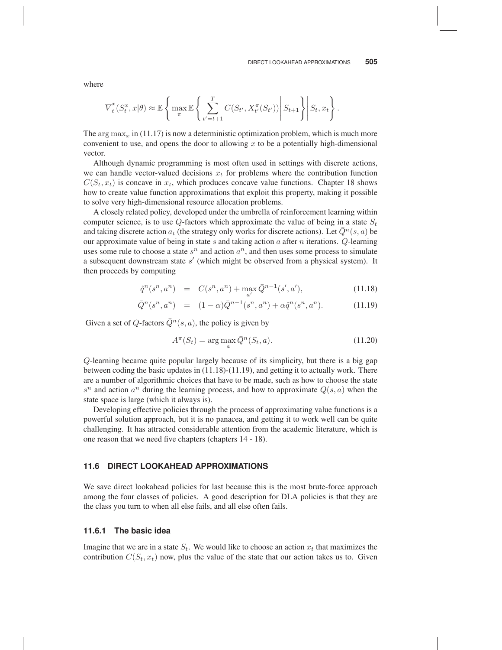.

where

 $\bar{1}$ 

$$
\overline{V}_t^x(S_t^x, x | \theta) \approx \mathbb{E}\left\{\max_{\pi} \mathbb{E}\left\{\sum_{t'=t+1}^T C(S_{t'}, X_{t'}^{\pi}(S_{t'})) \middle| S_{t+1}\right\} \middle| S_t, x_t\right\}
$$

The arg  $\max_x$  in (11.17) is now a deterministic optimization problem, which is much more convenient to use, and opens the door to allowing  $x$  to be a potentially high-dimensional vector.

Although dynamic programming is most often used in settings with discrete actions, we can handle vector-valued decisions  $x_t$  for problems where the contribution function  $C(S_t, x_t)$  is concave in  $x_t$ , which produces concave value functions. Chapter 18 shows how to create value function approximations that exploit this property, making it possible to solve very high-dimensional resource allocation problems.

A closely related policy, developed under the umbrella of reinforcement learning within computer science, is to use  $Q$ -factors which approximate the value of being in a state  $S_t$ and taking discrete action  $a_t$  (the strategy only works for discrete actions). Let  $Q^n(s, a)$  be our approximate value of being in state s and taking action a after n iterations.  $Q$ -learning uses some rule to choose a state  $s^n$  and action  $a^n$ , and then uses some process to simulate a subsequent downstream state  $s'$  (which might be observed from a physical system). It then proceeds by computing

$$
\hat{q}^n(s^n, a^n) = C(s^n, a^n) + \max_{a'} \bar{Q}^{n-1}(s', a'), \qquad (11.18)
$$

$$
\bar{Q}^n(s^n, a^n) = (1 - \alpha)\bar{Q}^{n-1}(s^n, a^n) + \alpha \hat{q}^n(s^n, a^n). \tag{11.19}
$$

Given a set of Q-factors  $\overline{Q}^n(s, a)$ , the policy is given by

$$
A^{\pi}(S_t) = \arg\max_a \bar{Q}^n(S_t, a). \tag{11.20}
$$

Q-learning became quite popular largely because of its simplicity, but there is a big gap between coding the basic updates in (11.18)-(11.19), and getting it to actually work. There are a number of algorithmic choices that have to be made, such as how to choose the state  $s^n$  and action  $a^n$  during the learning process, and how to approximate  $Q(s, a)$  when the state space is large (which it always is).

Developing effective policies through the process of approximating value functions is a powerful solution approach, but it is no panacea, and getting it to work well can be quite challenging. It has attracted considerable attention from the academic literature, which is one reason that we need five chapters (chapters 14 - 18).

# **11.6 DIRECT LOOKAHEAD APPROXIMATIONS**

We save direct lookahead policies for last because this is the most brute-force approach among the four classes of policies. A good description for DLA policies is that they are the class you turn to when all else fails, and all else often fails.

# **11.6.1 The basic idea**

Imagine that we are in a state  $S_t$ . We would like to choose an action  $x_t$  that maximizes the contribution  $C(S_t, x_t)$  now, plus the value of the state that our action takes us to. Given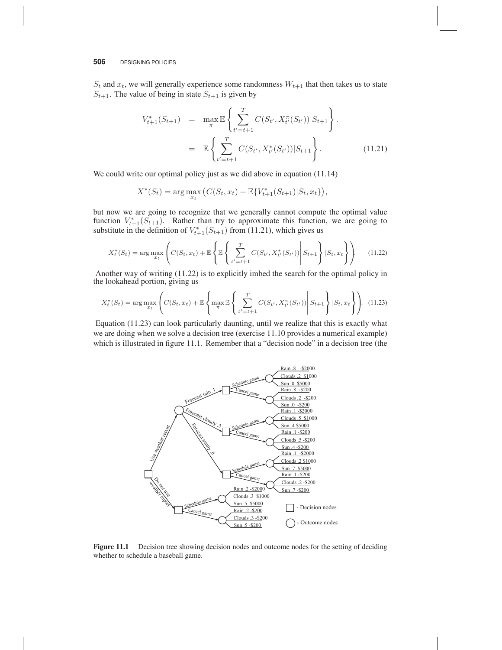$S_t$  and  $x_t$ , we will generally experience some randomness  $W_{t+1}$  that then takes us to state  $S_{t+1}$ . The value of being in state  $S_{t+1}$  is given by

$$
V_{t+1}^*(S_{t+1}) = \max_{\pi} \mathbb{E} \left\{ \sum_{t'=t+1}^T C(S_{t'}, X_{t'}^{\pi}(S_{t'})) | S_{t+1} \right\}.
$$
  

$$
= \mathbb{E} \left\{ \sum_{t'=t+1}^T C(S_{t'}, X_{t'}^*(S_{t'})) | S_{t+1} \right\}.
$$
 (11.21)

We could write our optimal policy just as we did above in equation  $(11.14)$ 

$$
X^*(S_t) = \arg\max_{x_t} \big( C(S_t, x_t) + \mathbb{E}\{V_{t+1}^*(S_{t+1})|S_t, x_t\} \big),
$$

but now we are going to recognize that we generally cannot compute the optimal value function  $V_{t+1}^*(S_{t+1})$ . Rather than try to approximate this function, we are going to substitute in the definition of  $V^*$ .  $(S_{t+1})$  from (11.21) which gives us substitute in the definition of  $V_{t+1}^*(S_{t+1})$  from (11.21), which gives us

$$
X_t^*(S_t) = \arg \max_{x_t} \left( C(S_t, x_t) + \mathbb{E} \left\{ \mathbb{E} \left\{ \sum_{t'=t+1}^T C(S_{t'}, X_{t'}^*(S_{t'})) \middle| S_{t+1} \right\} | S_t, x_t \right\} \right). \tag{11.22}
$$

Another way of writing (11.22) is to explicitly imbed the search for the optimal policy in the lookahead portion, giving us

$$
X_t^*(S_t) = \arg \max_{x_t} \left( C(S_t, x_t) + \mathbb{E} \left\{ \max_{\pi} \mathbb{E} \left\{ \sum_{t'=t+1}^T C(S_{t'}, X_{t'}^{\pi}(S_{t'})) \middle| S_{t+1} \right\} | S_t, x_t \right\} \right). \tag{11.23}
$$

Equation (11.23) can look particularly daunting, until we realize that this is exactly what we are doing when we solve a decision tree (exercise 11.10 provides a numerical example) which is illustrated in figure 11.1. Remember that a "decision node" in a decision tree (the



Figure 11.1 Decision tree showing decision nodes and outcome nodes for the setting of deciding whether to schedule a baseball game.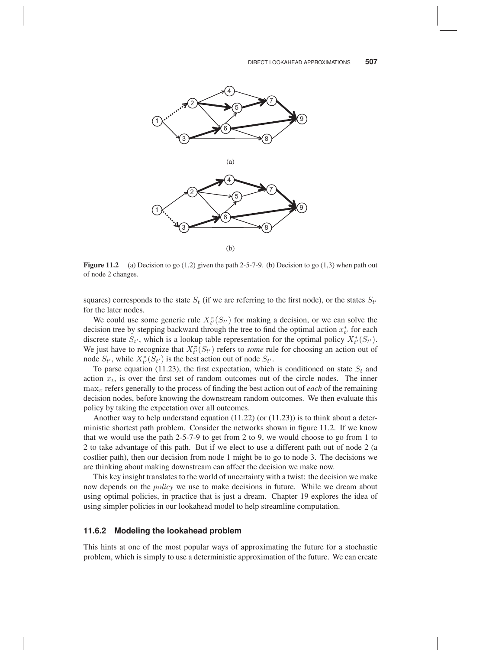

**Figure 11.2** (a) Decision to go  $(1,2)$  given the path 2-5-7-9. (b) Decision to go  $(1,3)$  when path out of node 2 changes.

squares) corresponds to the state  $S_t$  (if we are referring to the first node), or the states  $S_{t}$ for the later nodes.

We could use some generic rule  $X_t^{\pi}(S_t)$ <br>vision tree by stepping backward through ) for making a decision, or we can solve the<br>the tree to find the optimal action  $x^*$  for each decision tree by stepping backward through the tree to find the optimal action  $x_{t'}^*$  for each discrete state  $S_{t'}$ , which is a lookup table representation for the optimal policy  $X_{t'}^*(S_{t'})$ <br>We just have to recognize that  $X^{\pi}(S_{t'})$  refers to some rule for choosing an action out ).<br>הf We just have to recognize that  $X_t^{\pi}(S_t)$ <br>node  $S_{tt}$ , while  $X^*(S_{tt})$  is the best act ) refers to *some* rule for choosing an action out of  $\text{node } S_{\alpha}$ node  $S_{t}$ , while  $X_{t}^{*}$   $(S_{t}$ <br>To parse equation (1) ) is the best action out of node  $S_{t'}$ .<br>1.23) the first expectation which

To parse equation (11.23), the first expectation, which is conditioned on state  $S_t$  and action  $x_t$ , is over the first set of random outcomes out of the circle nodes. The inner max<sup>π</sup> refers generally to the process of finding the best action out of *each* of the remaining decision nodes, before knowing the downstream random outcomes. We then evaluate this policy by taking the expectation over all outcomes.

Another way to help understand equation  $(11.22)$  (or  $(11.23)$ ) is to think about a deterministic shortest path problem. Consider the networks shown in figure 11.2. If we know that we would use the path 2-5-7-9 to get from 2 to 9, we would choose to go from 1 to 2 to take advantage of this path. But if we elect to use a different path out of node 2 (a costlier path), then our decision from node 1 might be to go to node 3. The decisions we are thinking about making downstream can affect the decision we make now.

This key insight translates to the world of uncertainty with a twist: the decision we make now depends on the *policy* we use to make decisions in future. While we dream about using optimal policies, in practice that is just a dream. Chapter 19 explores the idea of using simpler policies in our lookahead model to help streamline computation.

# **11.6.2 Modeling the lookahead problem**

This hints at one of the most popular ways of approximating the future for a stochastic problem, which is simply to use a deterministic approximation of the future. We can create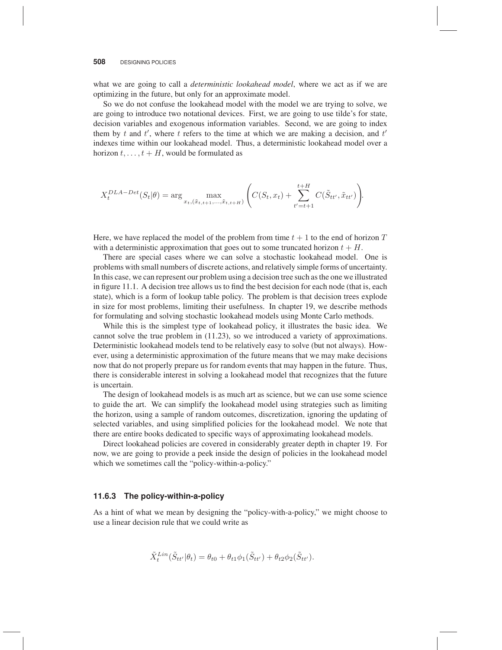what we are going to call a *deterministic lookahead model*, where we act as if we are optimizing in the future, but only for an approximate model.

So we do not confuse the lookahead model with the model we are trying to solve, we are going to introduce two notational devices. First, we are going to use tilde's for state, decision variables and exogenous information variables. Second, we are going to index them by  $t$  and  $t'$ , where  $t$  refers to the time at which we are making a decision, and  $t'$ indexes time within our lookahead model. Thus, a deterministic lookahead model over a horizon  $t, \ldots, t + H$ , would be formulated as

$$
X_t^{DLA-Det}(S_t|\theta) = \arg \max_{x_t, (\tilde{x}_{t,t+1}, ..., \tilde{x}_{t,t+H})} \Bigg( C(S_t, x_t) + \sum_{t'=t+1}^{t+H} C(\tilde{S}_{tt'}, \tilde{x}_{tt'}) \Bigg).
$$

Here, we have replaced the model of the problem from time  $t + 1$  to the end of horizon T with a deterministic approximation that goes out to some truncated horizon  $t + H$ .

There are special cases where we can solve a stochastic lookahead model. One is problems with small numbers of discrete actions, and relatively simple forms of uncertainty. In this case, we can represent our problem using a decision tree such as the one we illustrated in figure 11.1. A decision tree allows us to find the best decision for each node (that is, each state), which is a form of lookup table policy. The problem is that decision trees explode in size for most problems, limiting their usefulness. In chapter 19, we describe methods for formulating and solving stochastic lookahead models using Monte Carlo methods.

While this is the simplest type of lookahead policy, it illustrates the basic idea. We cannot solve the true problem in (11.23), so we introduced a variety of approximations. Deterministic lookahead models tend to be relatively easy to solve (but not always). However, using a deterministic approximation of the future means that we may make decisions now that do not properly prepare us for random events that may happen in the future. Thus, there is considerable interest in solving a lookahead model that recognizes that the future is uncertain.

The design of lookahead models is as much art as science, but we can use some science to guide the art. We can simplify the lookahead model using strategies such as limiting the horizon, using a sample of random outcomes, discretization, ignoring the updating of selected variables, and using simplified policies for the lookahead model. We note that there are entire books dedicated to specific ways of approximating lookahead models.

Direct lookahead policies are covered in considerably greater depth in chapter 19. For now, we are going to provide a peek inside the design of policies in the lookahead model which we sometimes call the "policy-within-a-policy."

# **11.6.3 The policy-within-a-policy**

As a hint of what we mean by designing the "policy-with-a-policy," we might choose to use a linear decision rule that we could write as

$$
\tilde{X}_t^{Lin}(\tilde{S}_{tt'}|\theta_t) = \theta_{t0} + \theta_{t1}\phi_1(\tilde{S}_{tt'}) + \theta_{t2}\phi_2(\tilde{S}_{tt'}).
$$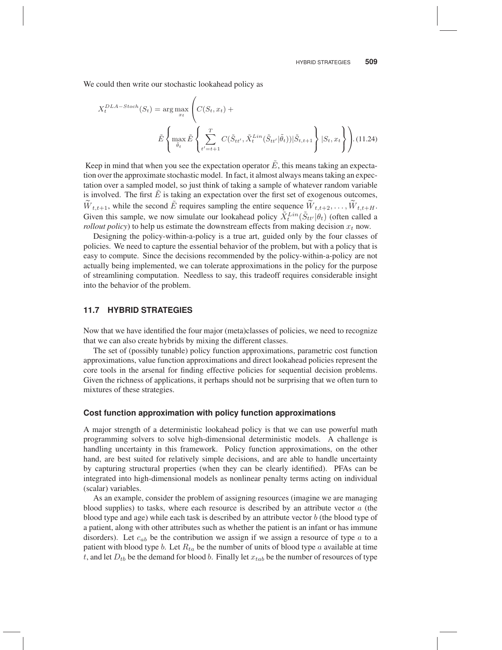We could then write our stochastic lookahead policy as

$$
X_t^{DLA-Stoch}(S_t) = \arg\max_{x_t} \left( C(S_t, x_t) + \tilde{E} \left\{ \max_{\tilde{\theta}_t} \tilde{E} \left\{ \sum_{t'=t+1}^T C(\tilde{S}_{tt'}, \tilde{X}_t^{Lin}(\tilde{S}_{tt'} | \tilde{\theta}_t)) | \tilde{S}_{t, t+1} \right\} | S_t, x_t \right\} \right). (11.24)
$$

Keep in mind that when you see the expectation operator  $\tilde{E}$ , this means taking an expectation over the approximate stochastic model. In fact, it almost always means taking an expectation over a sampled model, so just think of taking a sample of whatever random variable is involved. The first  $E$  is taking an expectation over the first set of exogenous outcomes,  $\widetilde{W}_{t,t+1}$ , while the second  $\widetilde{E}$  requires sampling the entire sequence  $\widetilde{W}_{t,t+2},\ldots,\widetilde{W}_{t,t+H}$ . Given this sample, we now simulate our lookahead policy  $\tilde{X}_t^{Lin}(\tilde{S}_{tt'}|\theta_t)$  (often called a rallout policy) to belp us estimate the downstream effects from making decision  $x_t$  now *rollout policy*) to help us estimate the downstream effects from making decision  $x_t$  now.

Designing the policy-within-a-policy is a true art, guided only by the four classes of policies. We need to capture the essential behavior of the problem, but with a policy that is easy to compute. Since the decisions recommended by the policy-within-a-policy are not actually being implemented, we can tolerate approximations in the policy for the purpose of streamlining computation. Needless to say, this tradeoff requires considerable insight into the behavior of the problem.

# **11.7 HYBRID STRATEGIES**

Now that we have identified the four major (meta)classes of policies, we need to recognize that we can also create hybrids by mixing the different classes.

The set of (possibly tunable) policy function approximations, parametric cost function approximations, value function approximations and direct lookahead policies represent the core tools in the arsenal for finding effective policies for sequential decision problems. Given the richness of applications, it perhaps should not be surprising that we often turn to mixtures of these strategies.

#### **Cost function approximation with policy function approximations**

A major strength of a deterministic lookahead policy is that we can use powerful math programming solvers to solve high-dimensional deterministic models. A challenge is handling uncertainty in this framework. Policy function approximations, on the other hand, are best suited for relatively simple decisions, and are able to handle uncertainty by capturing structural properties (when they can be clearly identified). PFAs can be integrated into high-dimensional models as nonlinear penalty terms acting on individual (scalar) variables.

As an example, consider the problem of assigning resources (imagine we are managing blood supplies) to tasks, where each resource is described by an attribute vector  $a$  (the blood type and age) while each task is described by an attribute vector b (the blood type of a patient, along with other attributes such as whether the patient is an infant or has immune disorders). Let  $c_{ab}$  be the contribution we assign if we assign a resource of type a to a patient with blood type b. Let  $R_{ta}$  be the number of units of blood type a available at time t, and let  $D_{tb}$  be the demand for blood b. Finally let  $x_{tab}$  be the number of resources of type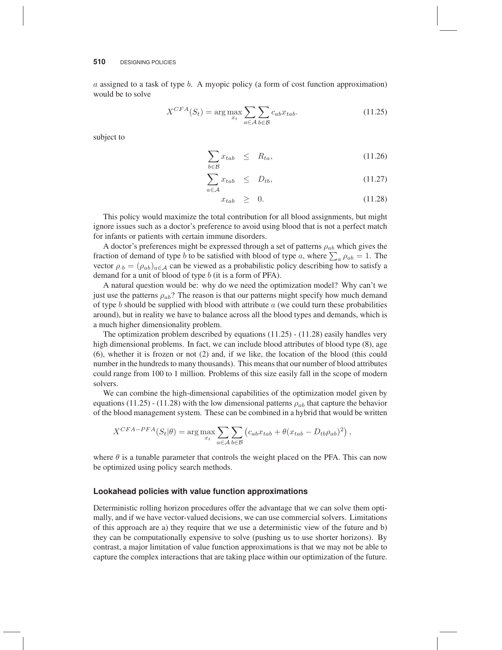a assigned to a task of type b. A myopic policy (a form of cost function approximation) would be to solve

$$
X^{CFA}(S_t) = \arg\max_{x_t} \sum_{a \in \mathcal{A}} \sum_{b \in \mathcal{B}} c_{ab} x_{tab}.
$$
 (11.25)

subject to

$$
\sum_{b \in \mathcal{B}} x_{tab} \leq R_{ta}, \tag{11.26}
$$

$$
\sum_{a \in \mathcal{A}} x_{tab} \leq D_{tb}, \tag{11.27}
$$

$$
x_{tab} \geq 0. \tag{11.28}
$$

This policy would maximize the total contribution for all blood assignments, but might ignore issues such as a doctor's preference to avoid using blood that is not a perfect match for infants or patients with certain immune disorders.

A doctor's preferences might be expressed through a set of patterns  $\rho_{ab}$  which gives the fraction of demand of type b to be satisfied with blood of type a, where  $\sum_a \rho_{ab} = 1$ . The vector  $a_1 = (a_1)$  and can be viewed as a probabilistic policy describing how to satisfy a vector  $\rho_{b} = (\rho_{ab})_{a \in A}$  can be viewed as a probabilistic policy describing how to satisfy a demand for a unit of blood of type b (it is a form of PFA).

A natural question would be: why do we need the optimization model? Why can't we just use the patterns  $\rho_{ab}$ ? The reason is that our patterns might specify how much demand of type  $b$  should be supplied with blood with attribute  $a$  (we could turn these probabilities around), but in reality we have to balance across all the blood types and demands, which is a much higher dimensionality problem.

The optimization problem described by equations (11.25) - (11.28) easily handles very high dimensional problems. In fact, we can include blood attributes of blood type (8), age (6), whether it is frozen or not (2) and, if we like, the location of the blood (this could number in the hundreds to many thousands). This means that our number of blood attributes could range from 100 to 1 million. Problems of this size easily fall in the scope of modern solvers.

We can combine the high-dimensional capabilities of the optimization model given by equations (11.25) - (11.28) with the low dimensional patterns  $\rho_{ab}$  that capture the behavior of the blood management system. These can be combined in a hybrid that would be written

$$
X^{CFA-PFA}(S_t|\theta) = \arg\max_{x_t} \sum_{a \in A} \sum_{b \in B} (c_{ab}x_{tab} + \theta (x_{tab} - D_{tb}\rho_{ab})^2),
$$

where  $\theta$  is a tunable parameter that controls the weight placed on the PFA. This can now be optimized using policy search methods.

#### **Lookahead policies with value function approximations**

Deterministic rolling horizon procedures offer the advantage that we can solve them optimally, and if we have vector-valued decisions, we can use commercial solvers. Limitations of this approach are a) they require that we use a deterministic view of the future and b) they can be computationally expensive to solve (pushing us to use shorter horizons). By contrast, a major limitation of value function approximations is that we may not be able to capture the complex interactions that are taking place within our optimization of the future.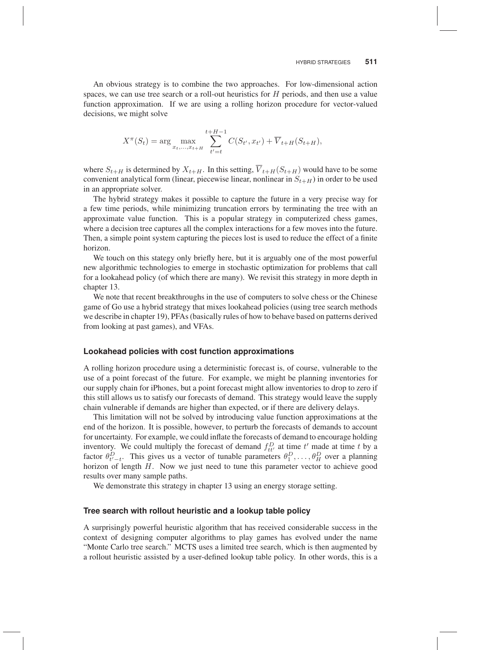An obvious strategy is to combine the two approaches. For low-dimensional action spaces, we can use tree search or a roll-out heuristics for  $H$  periods, and then use a value function approximation. If we are using a rolling horizon procedure for vector-valued decisions, we might solve

$$
X^{\pi}(S_t) = \arg \max_{x_t, ..., x_{t+H}} \sum_{t'=t}^{t+H-1} C(S_{t'}, x_{t'}) + \overline{V}_{t+H}(S_{t+H}),
$$

where  $S_{t+H}$  is determined by  $X_{t+H}$ . In this setting,  $\overline{V}_{t+H}(S_{t+H})$  would have to be some convenient analytical form (linear, piecewise linear, nonlinear in  $S_{t+H}$ ) in order to be used in an appropriate solver.

The hybrid strategy makes it possible to capture the future in a very precise way for a few time periods, while minimizing truncation errors by terminating the tree with an approximate value function. This is a popular strategy in computerized chess games, where a decision tree captures all the complex interactions for a few moves into the future. Then, a simple point system capturing the pieces lost is used to reduce the effect of a finite horizon.

We touch on this stategy only briefly here, but it is arguably one of the most powerful new algorithmic technologies to emerge in stochastic optimization for problems that call for a lookahead policy (of which there are many). We revisit this strategy in more depth in chapter 13.

We note that recent breakthroughs in the use of computers to solve chess or the Chinese game of Go use a hybrid strategy that mixes lookahead policies (using tree search methods we describe in chapter 19), PFAs (basically rules of how to behave based on patterns derived from looking at past games), and VFAs.

#### **Lookahead policies with cost function approximations**

A rolling horizon procedure using a deterministic forecast is, of course, vulnerable to the use of a point forecast of the future. For example, we might be planning inventories for our supply chain for iPhones, but a point forecast might allow inventories to drop to zero if this still allows us to satisfy our forecasts of demand. This strategy would leave the supply chain vulnerable if demands are higher than expected, or if there are delivery delays.

This limitation will not be solved by introducing value function approximations at the end of the horizon. It is possible, however, to perturb the forecasts of demands to account for uncertainty. For example, we could inflate the forecasts of demand to encourage holding inventory. We could multiply the forecast of demand  $f_{tt}^D$  at time  $t'$  made at time t by a factor  $\theta_{t'-t}^D$ . This gives us a vector of tunable parameters  $\theta_1^D, \ldots, \theta_H^D$  over a planning horizon of length H. Now we just need to tune this parameter vector to achieve good results over many sample paths.

We demonstrate this strategy in chapter 13 using an energy storage setting.

#### **Tree search with rollout heuristic and a lookup table policy**

A surprisingly powerful heuristic algorithm that has received considerable success in the context of designing computer algorithms to play games has evolved under the name "Monte Carlo tree search." MCTS uses a limited tree search, which is then augmented by a rollout heuristic assisted by a user-defined lookup table policy. In other words, this is a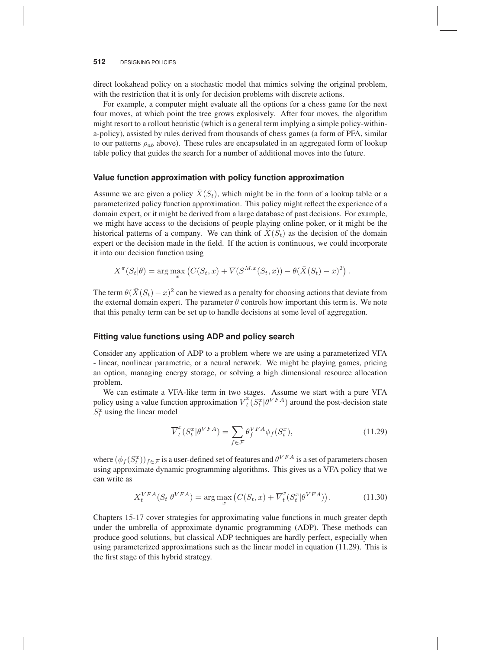direct lookahead policy on a stochastic model that mimics solving the original problem, with the restriction that it is only for decision problems with discrete actions.

For example, a computer might evaluate all the options for a chess game for the next four moves, at which point the tree grows explosively. After four moves, the algorithm might resort to a rollout heuristic (which is a general term implying a simple policy-withina-policy), assisted by rules derived from thousands of chess games (a form of PFA, similar to our patterns  $\rho_{ab}$  above). These rules are encapsulated in an aggregated form of lookup table policy that guides the search for a number of additional moves into the future.

# **Value function approximation with policy function approximation**

Assume we are given a policy  $X(S_t)$ , which might be in the form of a lookup table or a parameterized policy function approximation. This policy might reflect the experience of a domain expert, or it might be derived from a large database of past decisions. For example, we might have access to the decisions of people playing online poker, or it might be the historical patterns of a company. We can think of  $X(S_t)$  as the decision of the domain expert or the decision made in the field. If the action is continuous, we could incorporate it into our decision function using

$$
X^{\pi}(S_t|\theta) = \arg\max_x \left( C(S_t, x) + \overline{V}(S^{M,x}(S_t, x)) - \theta(\overline{X}(S_t) - x)^2 \right).
$$

The term  $\theta(\bar{X}(S_t) - x)^2$  can be viewed as a penalty for choosing actions that deviate from the external domain expert. The parameter  $\theta$  controls how important this term is. We note that this penalty term can be set up to handle decisions at some level of aggregation.

# **Fitting value functions using ADP and policy search**

Consider any application of ADP to a problem where we are using a parameterized VFA - linear, nonlinear parametric, or a neural network. We might be playing games, pricing an option, managing energy storage, or solving a high dimensional resource allocation problem.

We can estimate a VFA-like term in two stages. Assume we start with a pure VFA policy using a value function approximation  $\overline{V}_t^x(S_t^x | \theta^{VFA})$  around the post-decision state<br>  $S_x^x$  using the linear model  $S_t^x$  using the linear model

$$
\overline{V}_t^x(S_t^x | \theta^{VFA}) = \sum_{f \in \mathcal{F}} \theta_f^{VFA} \phi_f(S_t^x), \tag{11.29}
$$

where  $(\phi_f(S_t^x))_{f \in \mathcal{F}}$  is a user-defined set of features and  $\theta^{VFA}$  is a set of parameters chosen<br>using approximate dynamic programming algorithms. This gives us a VFA policy that we using approximate dynamic programming algorithms. This gives us a VFA policy that we can write as

$$
X_t^{VFA}(S_t|\theta^{VFA}) = \arg\max_x \left( C(S_t, x) + \overline{V}_t^x(S_t^x|\theta^{VFA}) \right). \tag{11.30}
$$

Chapters 15-17 cover strategies for approximating value functions in much greater depth under the umbrella of approximate dynamic programming (ADP). These methods can produce good solutions, but classical ADP techniques are hardly perfect, especially when using parameterized approximations such as the linear model in equation (11.29). This is the first stage of this hybrid strategy.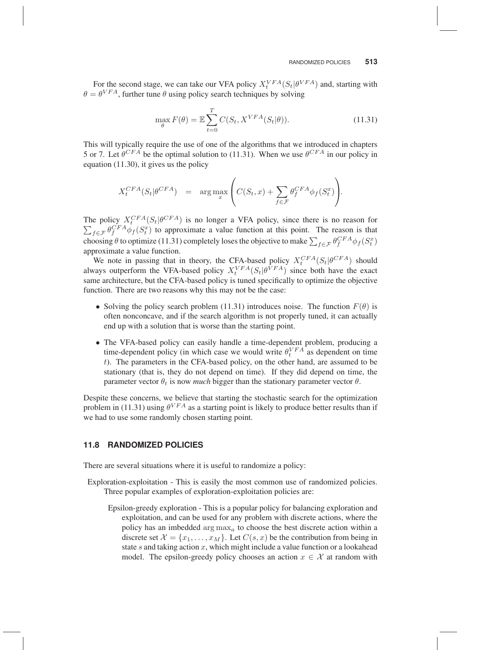For the second stage, we can take our VFA policy  $X_t^{VFA}(S_t|\theta^{VFA})$  and, starting with  $\theta^{VFA}$  further tune  $\theta$  using policy search techniques by solving  $\theta = \theta^{VFA}$ , further tune  $\theta$  using policy search techniques by solving

$$
\max_{\theta} F(\theta) = \mathbb{E} \sum_{t=0}^{T} C(S_t, X^{VFA}(S_t | \theta)).
$$
\n(11.31)

This will typically require the use of one of the algorithms that we introduced in chapters 5 or 7. Let  $\theta^{CFA}$  be the optimal solution to (11.31). When we use  $\theta^{CFA}$  in our policy in equation (11.30), it gives us the policy

$$
X_t^{CFA}(S_t | \theta^{CFA}) = \arg \max_x \left( C(S_t, x) + \sum_{f \in \mathcal{F}} \theta_f^{CFA} \phi_f(S_t^x) \right).
$$

The policy  $X_c^{CFA}(S_t | \theta^{CFA})$  is no longer a VFA policy, since there is no reason for  $\sum_{\theta} \theta_{CFA}^{CFA}(S_{\theta})$  to approximate a value function at this point. The reason is that  $\sum_{f \in \mathcal{F}} \theta_f^{CFA} \phi_f(S_x^x)$  to approximate a value function at this point. The reason is that choosing  $\theta$  to optimize (11.31) completely loses the objective to make  $\sum_{f \in \mathcal{F}} \theta_f^{CFA} \phi_f(S_t^x)$ approximate a value function.

We note in passing that in theory, the CFA-based policy  $X_c^{CFA}(S_t|\theta^{CFA})$  should vave outperform the VFA-based policy  $X_c^{VFA}(S_t|\theta^{VFA})$  since both have the exact always outperform the VFA-based policy  $X_t^{VFA}(S_t|\theta^{VFA})$  since both have the exact same architecture, but the CFA-based policy is tuned specifically to optimize the objective function. There are two reasons why this may not be the case:

- Solving the policy search problem (11.31) introduces noise. The function  $F(\theta)$  is often nonconcave, and if the search algorithm is not properly tuned, it can actually end up with a solution that is worse than the starting point.
- The VFA-based policy can easily handle a time-dependent problem, producing a time-dependent policy (in which case we would write  $\theta_t^{VFA}$  as dependent on time t). The parameters in the CFA-based policy, on the other hand, are assumed to be stationary (that is, they do not depend on time). If they did depend on time, the parameter vector  $\theta_t$  is now *much* bigger than the stationary parameter vector  $\theta$ .

Despite these concerns, we believe that starting the stochastic search for the optimization problem in (11.31) using  $\theta^{VFA}$  as a starting point is likely to produce better results than if we had to use some randomly chosen starting point.

# **11.8 RANDOMIZED POLICIES**

There are several situations where it is useful to randomize a policy:

- Exploration-exploitation This is easily the most common use of randomized policies. Three popular examples of exploration-exploitation policies are:
	- Epsilon-greedy exploration This is a popular policy for balancing exploration and exploitation, and can be used for any problem with discrete actions, where the policy has an imbedded  $\arg \max_a$  to choose the best discrete action within a discrete set  $\mathcal{X} = \{x_1, \ldots, x_M\}$ . Let  $C(s, x)$  be the contribution from being in state s and taking action x, which might include a value function or a lookahead model. The epsilon-greedy policy chooses an action  $x \in \mathcal{X}$  at random with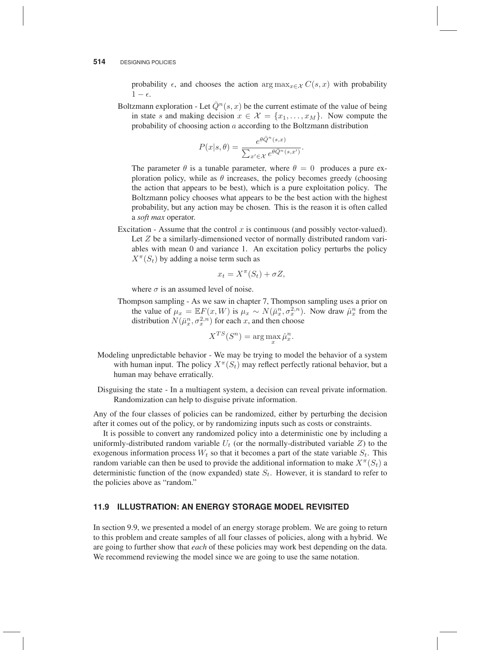probability  $\epsilon$ , and chooses the action arg max $_{x \in \mathcal{X}} C(s, x)$  with probability  $1 - \epsilon$ .

Boltzmann exploration - Let  $\overline{Q}^n(s, x)$  be the current estimate of the value of being in state s and making decision  $x \in \mathcal{X} = \{x_1, \ldots, x_M\}$ . Now compute the probability of choosing action a according to the Boltzmann distribution

$$
P(x|s,\theta) = \frac{e^{\theta \bar{Q}^n(s,x)}}{\sum_{x' \in \mathcal{X}} e^{\theta \bar{Q}^n(s,x')}}.
$$

The parameter  $\theta$  is a tunable parameter, where  $\theta = 0$  produces a pure exploration policy, while as  $\theta$  increases, the policy becomes greedy (choosing the action that appears to be best), which is a pure exploitation policy. The Boltzmann policy chooses what appears to be the best action with the highest probability, but any action may be chosen. This is the reason it is often called a *soft max* operator.

Excitation - Assume that the control x is continuous (and possibly vector-valued). Let  $Z$  be a similarly-dimensioned vector of normally distributed random variables with mean 0 and variance 1. An excitation policy perturbs the policy  $X^{\pi}(S_t)$  by adding a noise term such as

$$
x_t = X^{\pi}(S_t) + \sigma Z,
$$

where  $\sigma$  is an assumed level of noise.

Thompson sampling - As we saw in chapter 7, Thompson sampling uses a prior on the value of  $\mu_x = \mathbb{E}F(x, W)$  is  $\mu_x \sim N(\bar{\mu}_x^n, \sigma_x^2, n)$ . Now draw  $\hat{\mu}_x^n$  from the distribution  $N(\bar{\mu}_x^n, \sigma_x^2, n)$  for each x and then choose distribution  $N(\bar{\mu}_x^n, \sigma_x^2)^n$  for each x, and then choose

$$
X^{TS}(S^n) = \arg\max_x \hat{\mu}_x^n.
$$

- Modeling unpredictable behavior We may be trying to model the behavior of a system with human input. The policy  $X^{\pi}(S_t)$  may reflect perfectly rational behavior, but a human may behave erratically.
- Disguising the state In a multiagent system, a decision can reveal private information. Randomization can help to disguise private information.

Any of the four classes of policies can be randomized, either by perturbing the decision after it comes out of the policy, or by randomizing inputs such as costs or constraints.

It is possible to convert any randomized policy into a deterministic one by including a uniformly-distributed random variable  $U_t$  (or the normally-distributed variable  $Z$ ) to the exogenous information process  $W_t$  so that it becomes a part of the state variable  $S_t$ . This random variable can then be used to provide the additional information to make  $X^{\pi}(S_t)$  a deterministic function of the (now expanded) state  $S_t$ . However, it is standard to refer to the policies above as "random."

# **11.9 ILLUSTRATION: AN ENERGY STORAGE MODEL REVISITED**

In section 9.9, we presented a model of an energy storage problem. We are going to return to this problem and create samples of all four classes of policies, along with a hybrid. We are going to further show that *each* of these policies may work best depending on the data. We recommend reviewing the model since we are going to use the same notation.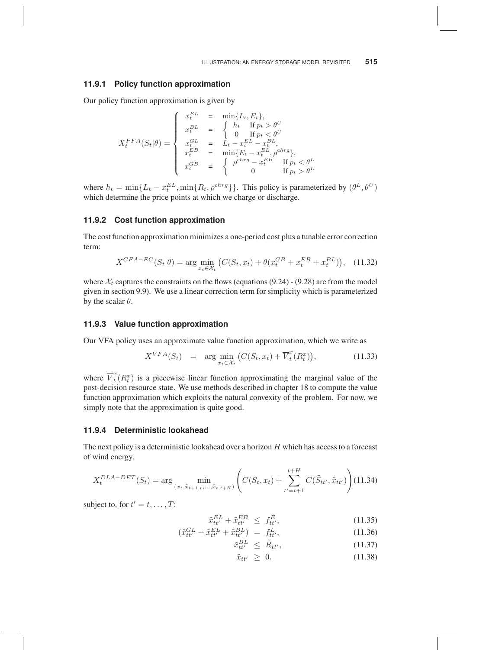# **11.9.1 Policy function approximation**

Our policy function approximation is given by

$$
X_t^{PFA}(S_t|\theta) = \begin{cases} x_t^{EL} &= \min\{L_t, E_t\}, \\ x_t^{BL} &= \begin{cases} h_t & \text{if } p_t > \theta^U \\ 0 & \text{if } p_t < \theta^U \\ x_t^{GL} &= L_t - x_t^{EL} - x_t^{BL}, \\ x_t^{EB} &= \min\{E_t - x_t^{EL}, \rho^{chrg}\}, \\ x_t^{GB} &= \begin{cases} \rho^{chrg} - x_t^{EB} & \text{if } p_t < \theta^L \\ 0 & \text{if } p_t > \theta^L \end{cases} \end{cases}
$$

where  $h_t = \min\{L_t - x_t^{EL}, \min\{R_t, \rho^{chrg}\}\}\)$ . This policy is parameterized by  $(\theta^L, \theta^U)$  which determine the price points at which we charge or discharge which determine the price points at which we charge or discharge.

#### **11.9.2 Cost function approximation**

The cost function approximation minimizes a one-period cost plus a tunable error correction term:

$$
X^{CFA-EC}(S_t|\theta) = \arg\min_{x_t \in \mathcal{X}_t} \left( C(S_t, x_t) + \theta (x_t^{GB} + x_t^{EB} + x_t^{BL}) \right), \quad (11.32)
$$

where  $\mathcal{X}_t$  captures the constraints on the flows (equations (9.24) - (9.28) are from the model given in section 9.9). We use a linear correction term for simplicity which is parameterized by the scalar  $\theta$ .

# **11.9.3 Value function approximation**

Our VFA policy uses an approximate value function approximation, which we write as

$$
X^{VFA}(S_t) = \arg\min_{x_t \in \mathcal{X}_t} \left( C(S_t, x_t) + \overline{V}_t^x(R_t^x) \right), \tag{11.33}
$$

where  $\overline{V}_t^x(R_t^x)$  is a piecewise linear function approximating the marginal value of the post-decision resource state. We use methods described in chanter 18 to compute the value post-decision resource state. We use methods described in chapter 18 to compute the value function approximation which exploits the natural convexity of the problem. For now, we simply note that the approximation is quite good.

# **11.9.4 Deterministic lookahead**

The next policy is a deterministic lookahead over a horizon  $H$  which has access to a forecast of wind energy.

$$
X_t^{DLA-DET}(S_t) = \arg\min_{(x_t, \tilde{x}_{t+1, t}, ..., \tilde{x}_{t, t+H})} \left( C(S_t, x_t) + \sum_{t'=t+1}^{t+H} C(\tilde{S}_{tt'}, \tilde{x}_{tt'}) \right) (11.34)
$$

subject to, for  $t' = t, ..., T$ :

$$
\tilde{x}_{tt'}^{EL} + \tilde{x}_{tt'}^{EB} \leq f_{tt'}^E, \tag{11.35}
$$
\n
$$
\tilde{x}_{tt}^{EL} \sim \tilde{x}_{tt'}^{EL} \sim \tilde{x}_{tt'}^{EL} \tag{11.36}
$$

$$
\left(\tilde{x}_{tt'}^{GL} + \tilde{x}_{tt'}^{EL} + \tilde{x}_{tt'}^{BL}\right) = f_{tt'}^{L'},\tag{11.36}
$$

$$
\tilde{x}_{tt'}^{BL} \leq \tilde{R}_{tt'},\tag{11.37}
$$
\n
$$
\tilde{x}_{tt'}^{S} \leq \tilde{R}_{tt'},\tag{11.38}
$$

$$
\tilde{x}_{tt'} \geq 0. \tag{11.38}
$$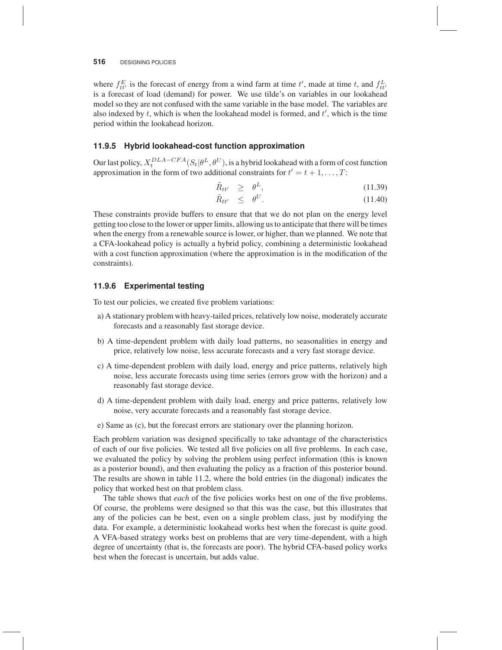where  $f_{tt'}^E$  is the forecast of energy from a wind farm at time t', made at time t, and  $f_{tt'}^L$ is a forecast of load (demand) for power. We use tilde's on variables in our lookahead model so they are not confused with the same variable in the base model. The variables are also indexed by  $t$ , which is when the lookahead model is formed, and  $t'$ , which is the time period within the lookahead horizon.

# **11.9.5 Hybrid lookahead-cost function approximation**

Our last policy,  $X_t^{DLA-CFA}(S_t | \theta^L, \theta^U)$ , is a hybrid lookahead with a form of cost function approximation in the form of two additional constraints for  $t' = t + 1, ..., T$ :

$$
\tilde{R}_{tt'} \geq \theta^L, \tag{11.39}
$$

$$
\tilde{R}_{tt'} \leq \theta^U. \tag{11.40}
$$

These constraints provide buffers to ensure that that we do not plan on the energy level getting too close to the lower or upper limits, allowing us to anticipate that there will be times when the energy from a renewable source is lower, or higher, than we planned. We note that a CFA-lookahead policy is actually a hybrid policy, combining a deterministic lookahead with a cost function approximation (where the approximation is in the modification of the constraints).

# **11.9.6 Experimental testing**

To test our policies, we created five problem variations:

- a) A stationary problem with heavy-tailed prices, relatively low noise, moderately accurate forecasts and a reasonably fast storage device.
- b) A time-dependent problem with daily load patterns, no seasonalities in energy and price, relatively low noise, less accurate forecasts and a very fast storage device.
- c) A time-dependent problem with daily load, energy and price patterns, relatively high noise, less accurate forecasts using time series (errors grow with the horizon) and a reasonably fast storage device.
- d) A time-dependent problem with daily load, energy and price patterns, relatively low noise, very accurate forecasts and a reasonably fast storage device.
- e) Same as (c), but the forecast errors are stationary over the planning horizon.

Each problem variation was designed specifically to take advantage of the characteristics of each of our five policies. We tested all five policies on all five problems. In each case, we evaluated the policy by solving the problem using perfect information (this is known as a posterior bound), and then evaluating the policy as a fraction of this posterior bound. The results are shown in table 11.2, where the bold entries (in the diagonal) indicates the policy that worked best on that problem class.

The table shows that *each* of the five policies works best on one of the five problems. Of course, the problems were designed so that this was the case, but this illustrates that any of the policies can be best, even on a single problem class, just by modifying the data. For example, a deterministic lookahead works best when the forecast is quite good. A VFA-based strategy works best on problems that are very time-dependent, with a high degree of uncertainty (that is, the forecasts are poor). The hybrid CFA-based policy works best when the forecast is uncertain, but adds value.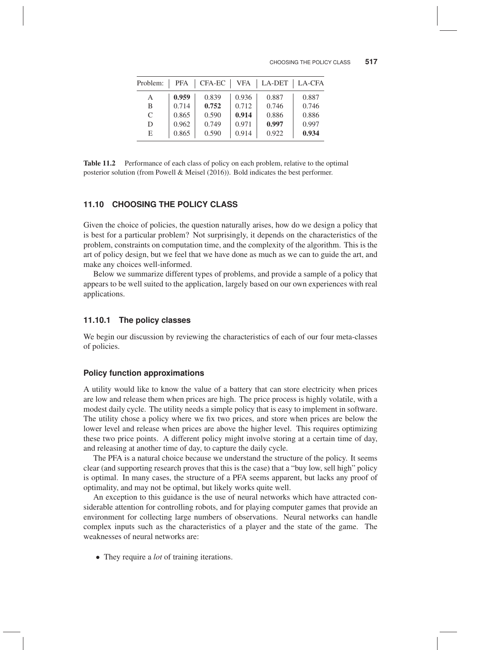| Problem:      | <b>PFA</b> | CFA-EC |       | VFA   LA-DET   LA-CFA |       |
|---------------|------------|--------|-------|-----------------------|-------|
| A             | 0.959      | 0.839  | 0.936 | 0.887                 | 0.887 |
| B             | 0.714      | 0.752  | 0.712 | 0.746                 | 0.746 |
| $\mathcal{C}$ | 0.865      | 0.590  | 0.914 | 0.886                 | 0.886 |
| D             | 0.962      | 0.749  | 0.971 | 0.997                 | 0.997 |
| E             | 0.865      | 0.590  | 0.914 | 0.922                 | 0.934 |

Table 11.2 Performance of each class of policy on each problem, relative to the optimal posterior solution (from Powell & Meisel (2016)). Bold indicates the best performer.

# **11.10 CHOOSING THE POLICY CLASS**

Given the choice of policies, the question naturally arises, how do we design a policy that is best for a particular problem? Not surprisingly, it depends on the characteristics of the problem, constraints on computation time, and the complexity of the algorithm. This is the art of policy design, but we feel that we have done as much as we can to guide the art, and make any choices well-informed.

Below we summarize different types of problems, and provide a sample of a policy that appears to be well suited to the application, largely based on our own experiences with real applications.

# **11.10.1 The policy classes**

We begin our discussion by reviewing the characteristics of each of our four meta-classes of policies.

#### **Policy function approximations**

A utility would like to know the value of a battery that can store electricity when prices are low and release them when prices are high. The price process is highly volatile, with a modest daily cycle. The utility needs a simple policy that is easy to implement in software. The utility chose a policy where we fix two prices, and store when prices are below the lower level and release when prices are above the higher level. This requires optimizing these two price points. A different policy might involve storing at a certain time of day, and releasing at another time of day, to capture the daily cycle.

The PFA is a natural choice because we understand the structure of the policy. It seems clear (and supporting research proves that this is the case) that a "buy low, sell high" policy is optimal. In many cases, the structure of a PFA seems apparent, but lacks any proof of optimality, and may not be optimal, but likely works quite well.

An exception to this guidance is the use of neural networks which have attracted considerable attention for controlling robots, and for playing computer games that provide an environment for collecting large numbers of observations. Neural networks can handle complex inputs such as the characteristics of a player and the state of the game. The weaknesses of neural networks are:

• They require a *lot* of training iterations.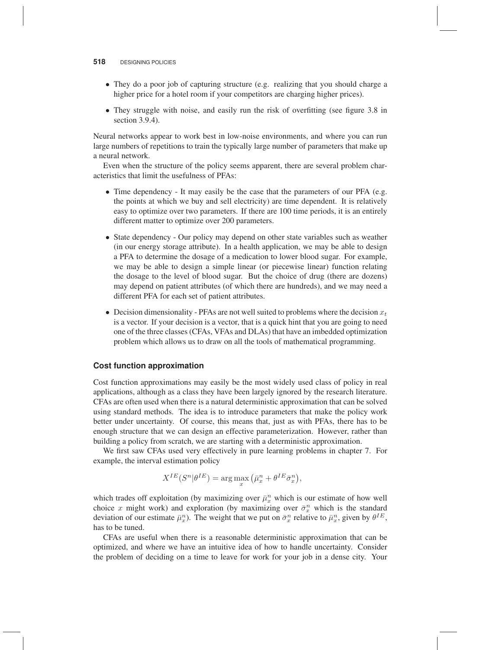- They do a poor job of capturing structure (e.g. realizing that you should charge a higher price for a hotel room if your competitors are charging higher prices).
- They struggle with noise, and easily run the risk of overfitting (see figure 3.8 in section 3.9.4).

Neural networks appear to work best in low-noise environments, and where you can run large numbers of repetitions to train the typically large number of parameters that make up a neural network.

Even when the structure of the policy seems apparent, there are several problem characteristics that limit the usefulness of PFAs:

- Time dependency It may easily be the case that the parameters of our PFA (e.g. the points at which we buy and sell electricity) are time dependent. It is relatively easy to optimize over two parameters. If there are 100 time periods, it is an entirely different matter to optimize over 200 parameters.
- State dependency Our policy may depend on other state variables such as weather (in our energy storage attribute). In a health application, we may be able to design a PFA to determine the dosage of a medication to lower blood sugar. For example, we may be able to design a simple linear (or piecewise linear) function relating the dosage to the level of blood sugar. But the choice of drug (there are dozens) may depend on patient attributes (of which there are hundreds), and we may need a different PFA for each set of patient attributes.
- Decision dimensionality PFAs are not well suited to problems where the decision  $x_t$ is a vector. If your decision is a vector, that is a quick hint that you are going to need one of the three classes (CFAs, VFAs and DLAs) that have an imbedded optimization problem which allows us to draw on all the tools of mathematical programming.

# **Cost function approximation**

Cost function approximations may easily be the most widely used class of policy in real applications, although as a class they have been largely ignored by the research literature. CFAs are often used when there is a natural deterministic approximation that can be solved using standard methods. The idea is to introduce parameters that make the policy work better under uncertainty. Of course, this means that, just as with PFAs, there has to be enough structure that we can design an effective parameterization. However, rather than building a policy from scratch, we are starting with a deterministic approximation.

We first saw CFAs used very effectively in pure learning problems in chapter 7. For example, the interval estimation policy

$$
X^{IE}(S^n | \theta^{IE}) = \arg \max_x \left( \bar{\mu}_x^n + \theta^{IE} \bar{\sigma}_x^n \right),
$$

which trades off exploitation (by maximizing over  $\bar{\mu}_x^n$  which is our estimate of how well<br>choice x might work) and exploration (by maximizing over  $\bar{\sigma}_x^n$  which is the standard choice x might work) and exploration (by maximizing over  $\bar{\sigma}_x^n$  which is the standard deviation of our estimate  $\bar{u}^n$ ). The weight that we put on  $\bar{\sigma}_x^n$  relative to  $\bar{u}^n$  given by  $\theta^{IE}$ deviation of our estimate  $\bar{\mu}_x^n$ ). The weight that we put on  $\bar{\sigma}_x^n$  relative to  $\bar{\mu}_x^n$ , given by  $\theta^{IE}$ , has to be tuned has to be tuned.

CFAs are useful when there is a reasonable deterministic approximation that can be optimized, and where we have an intuitive idea of how to handle uncertainty. Consider the problem of deciding on a time to leave for work for your job in a dense city. Your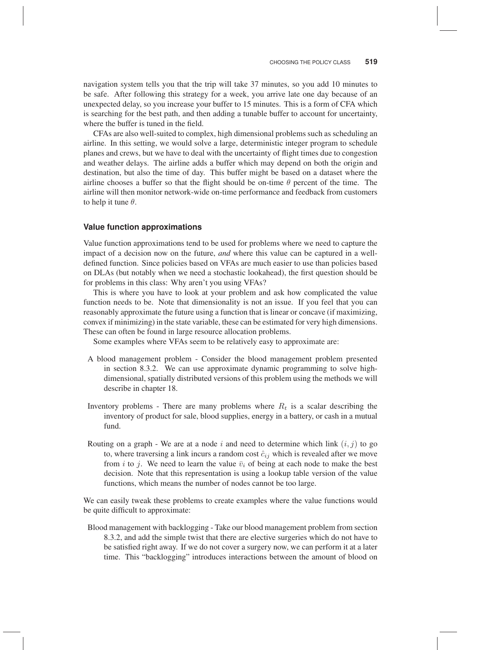navigation system tells you that the trip will take 37 minutes, so you add 10 minutes to be safe. After following this strategy for a week, you arrive late one day because of an unexpected delay, so you increase your buffer to 15 minutes. This is a form of CFA which is searching for the best path, and then adding a tunable buffer to account for uncertainty, where the buffer is tuned in the field.

CFAs are also well-suited to complex, high dimensional problems such as scheduling an airline. In this setting, we would solve a large, deterministic integer program to schedule planes and crews, but we have to deal with the uncertainty of flight times due to congestion and weather delays. The airline adds a buffer which may depend on both the origin and destination, but also the time of day. This buffer might be based on a dataset where the airline chooses a buffer so that the flight should be on-time  $\theta$  percent of the time. The airline will then monitor network-wide on-time performance and feedback from customers to help it tune  $\theta$ .

# **Value function approximations**

Value function approximations tend to be used for problems where we need to capture the impact of a decision now on the future, *and* where this value can be captured in a welldefined function. Since policies based on VFAs are much easier to use than policies based on DLAs (but notably when we need a stochastic lookahead), the first question should be for problems in this class: Why aren't you using VFAs?

This is where you have to look at your problem and ask how complicated the value function needs to be. Note that dimensionality is not an issue. If you feel that you can reasonably approximate the future using a function that is linear or concave (if maximizing, convex if minimizing) in the state variable, these can be estimated for very high dimensions. These can often be found in large resource allocation problems.

Some examples where VFAs seem to be relatively easy to approximate are:

- A blood management problem Consider the blood management problem presented in section 8.3.2. We can use approximate dynamic programming to solve highdimensional, spatially distributed versions of this problem using the methods we will describe in chapter 18.
- Inventory problems There are many problems where  $R_t$  is a scalar describing the inventory of product for sale, blood supplies, energy in a battery, or cash in a mutual fund.
- Routing on a graph We are at a node i and need to determine which link  $(i, j)$  to go to, where traversing a link incurs a random cost  $\hat{c}_{ij}$  which is revealed after we move from *i* to *j*. We need to learn the value  $\bar{v}_i$  of being at each node to make the best decision. Note that this representation is using a lookup table version of the value functions, which means the number of nodes cannot be too large.

We can easily tweak these problems to create examples where the value functions would be quite difficult to approximate:

Blood management with backlogging - Take our blood management problem from section 8.3.2, and add the simple twist that there are elective surgeries which do not have to be satisfied right away. If we do not cover a surgery now, we can perform it at a later time. This "backlogging" introduces interactions between the amount of blood on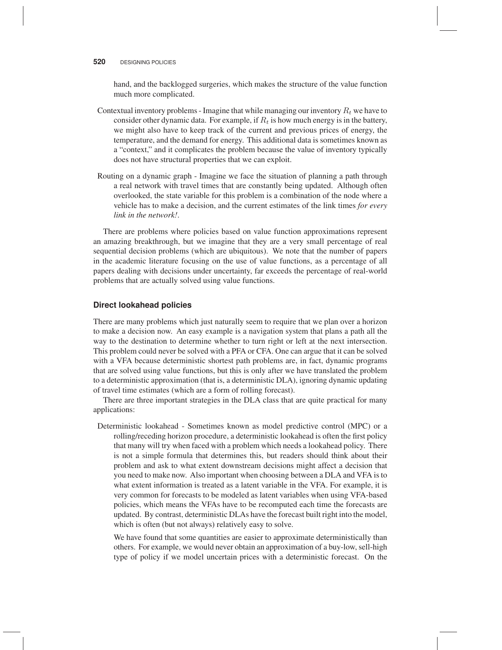hand, and the backlogged surgeries, which makes the structure of the value function much more complicated.

- Contextual inventory problems Imagine that while managing our inventory  $R_t$  we have to consider other dynamic data. For example, if  $R_t$  is how much energy is in the battery, we might also have to keep track of the current and previous prices of energy, the temperature, and the demand for energy. This additional data is sometimes known as a "context," and it complicates the problem because the value of inventory typically does not have structural properties that we can exploit.
- Routing on a dynamic graph Imagine we face the situation of planning a path through a real network with travel times that are constantly being updated. Although often overlooked, the state variable for this problem is a combination of the node where a vehicle has to make a decision, and the current estimates of the link times *for every link in the network!*.

There are problems where policies based on value function approximations represent an amazing breakthrough, but we imagine that they are a very small percentage of real sequential decision problems (which are ubiquitous). We note that the number of papers in the academic literature focusing on the use of value functions, as a percentage of all papers dealing with decisions under uncertainty, far exceeds the percentage of real-world problems that are actually solved using value functions.

# **Direct lookahead policies**

There are many problems which just naturally seem to require that we plan over a horizon to make a decision now. An easy example is a navigation system that plans a path all the way to the destination to determine whether to turn right or left at the next intersection. This problem could never be solved with a PFA or CFA. One can argue that it can be solved with a VFA because deterministic shortest path problems are, in fact, dynamic programs that are solved using value functions, but this is only after we have translated the problem to a deterministic approximation (that is, a deterministic DLA), ignoring dynamic updating of travel time estimates (which are a form of rolling forecast).

There are three important strategies in the DLA class that are quite practical for many applications:

Deterministic lookahead - Sometimes known as model predictive control (MPC) or a rolling/receding horizon procedure, a deterministic lookahead is often the first policy that many will try when faced with a problem which needs a lookahead policy. There is not a simple formula that determines this, but readers should think about their problem and ask to what extent downstream decisions might affect a decision that you need to make now. Also important when choosing between a DLA and VFA is to what extent information is treated as a latent variable in the VFA. For example, it is very common for forecasts to be modeled as latent variables when using VFA-based policies, which means the VFAs have to be recomputed each time the forecasts are updated. By contrast, deterministic DLAs have the forecast built right into the model, which is often (but not always) relatively easy to solve.

We have found that some quantities are easier to approximate deterministically than others. For example, we would never obtain an approximation of a buy-low, sell-high type of policy if we model uncertain prices with a deterministic forecast. On the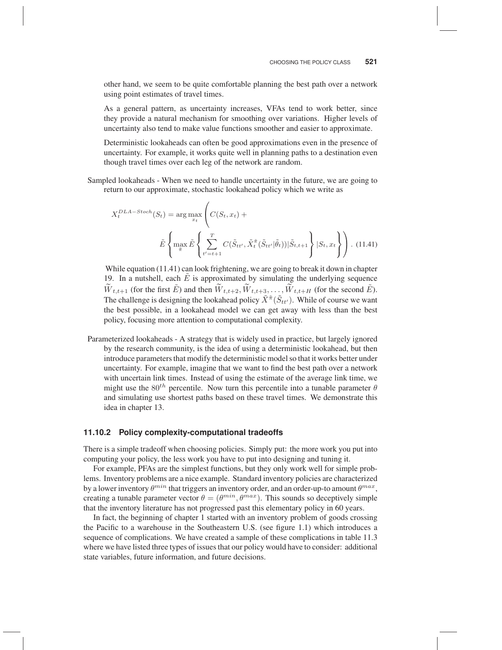other hand, we seem to be quite comfortable planning the best path over a network using point estimates of travel times.

As a general pattern, as uncertainty increases, VFAs tend to work better, since they provide a natural mechanism for smoothing over variations. Higher levels of uncertainty also tend to make value functions smoother and easier to approximate.

Deterministic lookaheads can often be good approximations even in the presence of uncertainty. For example, it works quite well in planning paths to a destination even though travel times over each leg of the network are random.

Sampled lookaheads - When we need to handle uncertainty in the future, we are going to return to our approximate, stochastic lookahead policy which we write as

$$
X_t^{DLA-Stoch}(S_t) = \arg\max_{x_t} \left( C(S_t, x_t) + \tilde{E} \left\{ \max_{\tilde{\pi}} \tilde{E} \left\{ \sum_{t'=t+1}^T C(\tilde{S}_{tt'}, \tilde{X}_t^{\tilde{\pi}}(\tilde{S}_{tt'}|\tilde{\theta}_t)) | \tilde{S}_{t, t+1} \right\} | S_t, x_t \right\} \right). \tag{11.41}
$$

While equation (11.41) can look frightening, we are going to break it down in chapter 19. In a nutshell, each  $E$  is approximated by simulating the underlying sequence  $\widetilde{W}_{t,t+1}$  (for the first  $\widetilde{E}$ ) and then  $\widetilde{W}_{t,t+2}, \widetilde{W}_{t,t+3}, \ldots, \widetilde{W}_{t,t+H}$  (for the second  $\widetilde{E}$ ). The challenge is designing the lookahead policy  $\tilde{X}^{\tilde{\pi}}(\tilde{S}_{tt'}$ <br>the best possible in a lookahead model we can get aw  $(v)$ . While of course we want the best possible, in a lookahead model we can get away with less than the best policy, focusing more attention to computational complexity.

Parameterized lookaheads - A strategy that is widely used in practice, but largely ignored by the research community, is the idea of using a deterministic lookahead, but then introduce parameters that modify the deterministic model so that it works better under uncertainty. For example, imagine that we want to find the best path over a network with uncertain link times. Instead of using the estimate of the average link time, we might use the 80<sup>th</sup> percentile. Now turn this percentile into a tunable parameter  $\theta$ and simulating use shortest paths based on these travel times. We demonstrate this idea in chapter 13.

# **11.10.2 Policy complexity-computational tradeoffs**

There is a simple tradeoff when choosing policies. Simply put: the more work you put into computing your policy, the less work you have to put into designing and tuning it.

For example, PFAs are the simplest functions, but they only work well for simple problems. Inventory problems are a nice example. Standard inventory policies are characterized by a lower inventory  $\theta^{min}$  that triggers an inventory order, and an order-up-to amount  $\theta^{max}$ , creating a tunable parameter vector  $\theta = (\theta^{min}, \theta^{max})$ . This sounds so deceptively simple that the inventory literature has not progressed past this elementary policy in 60 years.

In fact, the beginning of chapter 1 started with an inventory problem of goods crossing the Pacific to a warehouse in the Southeastern U.S. (see figure 1.1) which introduces a sequence of complications. We have created a sample of these complications in table 11.3 where we have listed three types of issues that our policy would have to consider: additional state variables, future information, and future decisions.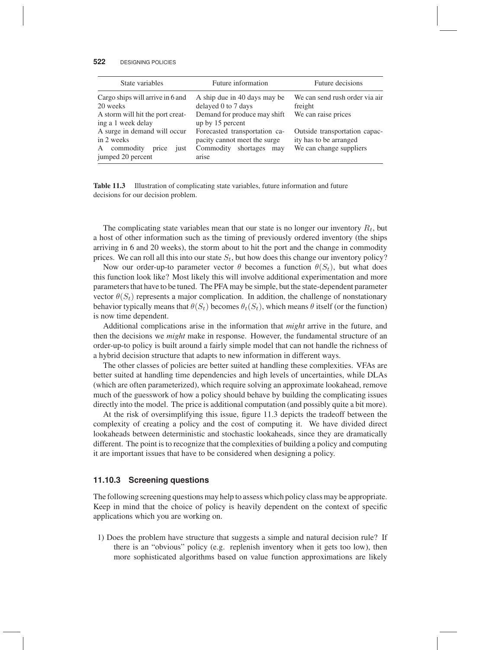| State variables                  | Future information            | Future decisions               |
|----------------------------------|-------------------------------|--------------------------------|
| Cargo ships will arrive in 6 and | A ship due in 40 days may be  | We can send rush order via air |
| 20 weeks                         | delayed 0 to 7 days           | freight                        |
| A storm will hit the port creat- | Demand for produce may shift  | We can raise prices            |
| ing a 1 week delay               | up by 15 percent              |                                |
| A surge in demand will occur     | Forecasted transportation ca- | Outside transportation capac-  |
| in 2 weeks                       | pacity cannot meet the surge  | ity has to be arranged         |
| commodity<br>A<br>just<br>price  | shortages<br>Commodity<br>may | We can change suppliers        |
| jumped 20 percent                | arise                         |                                |

Table 11.3 Illustration of complicating state variables, future information and future decisions for our decision problem.

The complicating state variables mean that our state is no longer our inventory  $R_t$ , but a host of other information such as the timing of previously ordered inventory (the ships arriving in 6 and 20 weeks), the storm about to hit the port and the change in commodity prices. We can roll all this into our state  $S_t$ , but how does this change our inventory policy?

Now our order-up-to parameter vector  $\theta$  becomes a function  $\theta(S_t)$ , but what does this function look like? Most likely this will involve additional experimentation and more parameters that have to be tuned. The PFA may be simple, but the state-dependent parameter vector  $\theta(S_t)$  represents a major complication. In addition, the challenge of nonstationary behavior typically means that  $\theta(S_t)$  becomes  $\theta_t(S_t)$ , which means  $\theta$  itself (or the function) is now time dependent.

Additional complications arise in the information that *might* arrive in the future, and then the decisions we *might* make in response. However, the fundamental structure of an order-up-to policy is built around a fairly simple model that can not handle the richness of a hybrid decision structure that adapts to new information in different ways.

The other classes of policies are better suited at handling these complexities. VFAs are better suited at handling time dependencies and high levels of uncertainties, while DLAs (which are often parameterized), which require solving an approximate lookahead, remove much of the guesswork of how a policy should behave by building the complicating issues directly into the model. The price is additional computation (and possibly quite a bit more).

At the risk of oversimplifying this issue, figure 11.3 depicts the tradeoff between the complexity of creating a policy and the cost of computing it. We have divided direct lookaheads between deterministic and stochastic lookaheads, since they are dramatically different. The point is to recognize that the complexities of building a policy and computing it are important issues that have to be considered when designing a policy.

# **11.10.3 Screening questions**

The following screening questions may help to assess which policy class may be appropriate. Keep in mind that the choice of policy is heavily dependent on the context of specific applications which you are working on.

1) Does the problem have structure that suggests a simple and natural decision rule? If there is an "obvious" policy (e.g. replenish inventory when it gets too low), then more sophisticated algorithms based on value function approximations are likely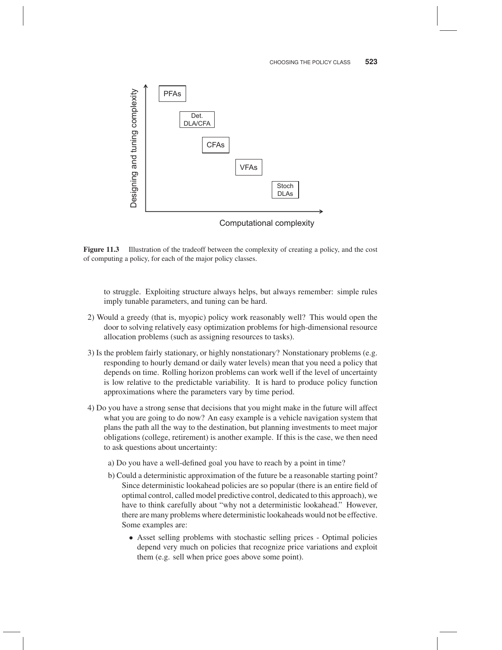

Figure 11.3 Illustration of the tradeoff between the complexity of creating a policy, and the cost of computing a policy, for each of the major policy classes.

to struggle. Exploiting structure always helps, but always remember: simple rules imply tunable parameters, and tuning can be hard.

- 2) Would a greedy (that is, myopic) policy work reasonably well? This would open the door to solving relatively easy optimization problems for high-dimensional resource allocation problems (such as assigning resources to tasks).
- 3) Is the problem fairly stationary, or highly nonstationary? Nonstationary problems (e.g. responding to hourly demand or daily water levels) mean that you need a policy that depends on time. Rolling horizon problems can work well if the level of uncertainty is low relative to the predictable variability. It is hard to produce policy function approximations where the parameters vary by time period.
- 4) Do you have a strong sense that decisions that you might make in the future will affect what you are going to do now? An easy example is a vehicle navigation system that plans the path all the way to the destination, but planning investments to meet major obligations (college, retirement) is another example. If this is the case, we then need to ask questions about uncertainty:
	- a) Do you have a well-defined goal you have to reach by a point in time?
	- b) Could a deterministic approximation of the future be a reasonable starting point? Since deterministic lookahead policies are so popular (there is an entire field of optimal control, called model predictive control, dedicated to this approach), we have to think carefully about "why not a deterministic lookahead." However, there are many problems where deterministic lookaheads would not be effective. Some examples are:
		- Asset selling problems with stochastic selling prices Optimal policies depend very much on policies that recognize price variations and exploit them (e.g. sell when price goes above some point).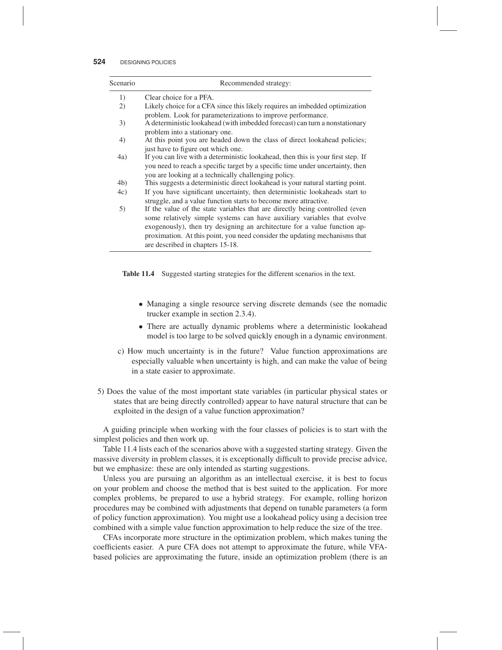| Scenario       | Recommended strategy:                                                                                                                                                                                                                                                                                                                                  |  |  |  |
|----------------|--------------------------------------------------------------------------------------------------------------------------------------------------------------------------------------------------------------------------------------------------------------------------------------------------------------------------------------------------------|--|--|--|
| 1)             | Clear choice for a PFA.                                                                                                                                                                                                                                                                                                                                |  |  |  |
| 2)             | Likely choice for a CFA since this likely requires an imbedded optimization<br>problem. Look for parameterizations to improve performance.                                                                                                                                                                                                             |  |  |  |
| 3)             | A deterministic lookahead (with imbedded forecast) can turn a nonstationary<br>problem into a stationary one.                                                                                                                                                                                                                                          |  |  |  |
| 4)             | At this point you are headed down the class of direct lookahead policies;<br>just have to figure out which one.                                                                                                                                                                                                                                        |  |  |  |
| 4a)            | If you can live with a deterministic lookahead, then this is your first step. If<br>you need to reach a specific target by a specific time under uncertainty, then<br>you are looking at a technically challenging policy.                                                                                                                             |  |  |  |
| 4 <sub>b</sub> | This suggests a deterministic direct lookahead is your natural starting point.                                                                                                                                                                                                                                                                         |  |  |  |
| 4c)            | If you have significant uncertainty, then deterministic lookaheads start to<br>struggle, and a value function starts to become more attractive.                                                                                                                                                                                                        |  |  |  |
| 5)             | If the value of the state variables that are directly being controlled (even<br>some relatively simple systems can have auxiliary variables that evolve<br>exogenously), then try designing an architecture for a value function ap-<br>proximation. At this point, you need consider the updating mechanisms that<br>are described in chapters 15-18. |  |  |  |

Table 11.4 Suggested starting strategies for the different scenarios in the text.

- Managing a single resource serving discrete demands (see the nomadic trucker example in section 2.3.4).
- There are actually dynamic problems where a deterministic lookahead model is too large to be solved quickly enough in a dynamic environment.
- c) How much uncertainty is in the future? Value function approximations are especially valuable when uncertainty is high, and can make the value of being in a state easier to approximate.
- 5) Does the value of the most important state variables (in particular physical states or states that are being directly controlled) appear to have natural structure that can be exploited in the design of a value function approximation?

A guiding principle when working with the four classes of policies is to start with the simplest policies and then work up.

Table 11.4 lists each of the scenarios above with a suggested starting strategy. Given the massive diversity in problem classes, it is exceptionally difficult to provide precise advice, but we emphasize: these are only intended as starting suggestions.

Unless you are pursuing an algorithm as an intellectual exercise, it is best to focus on your problem and choose the method that is best suited to the application. For more complex problems, be prepared to use a hybrid strategy. For example, rolling horizon procedures may be combined with adjustments that depend on tunable parameters (a form of policy function approximation). You might use a lookahead policy using a decision tree combined with a simple value function approximation to help reduce the size of the tree.

CFAs incorporate more structure in the optimization problem, which makes tuning the coefficients easier. A pure CFA does not attempt to approximate the future, while VFAbased policies are approximating the future, inside an optimization problem (there is an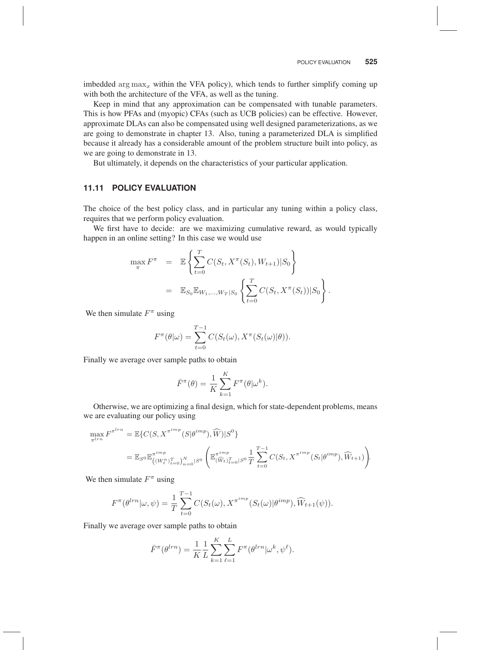imbedded  $\arg \max_{x}$  within the VFA policy), which tends to further simplify coming up with both the architecture of the VFA, as well as the tuning.

Keep in mind that any approximation can be compensated with tunable parameters. This is how PFAs and (myopic) CFAs (such as UCB policies) can be effective. However, approximate DLAs can also be compensated using well designed parameterizations, as we are going to demonstrate in chapter 13. Also, tuning a parameterized DLA is simplified because it already has a considerable amount of the problem structure built into policy, as we are going to demonstrate in 13.

But ultimately, it depends on the characteristics of your particular application.

# **11.11 POLICY EVALUATION**

The choice of the best policy class, and in particular any tuning within a policy class, requires that we perform policy evaluation.

We first have to decide: are we maximizing cumulative reward, as would typically happen in an online setting? In this case we would use

$$
\max_{\pi} F^{\pi} = \mathbb{E} \left\{ \sum_{t=0}^{T} C(S_t, X^{\pi}(S_t), W_{t+1}) | S_0 \right\} \n= \mathbb{E}_{S_0} \mathbb{E}_{W_1, ..., W_T | S_0} \left\{ \sum_{t=0}^{T} C(S_t, X^{\pi}(S_t)) | S_0 \right\}.
$$

We then simulate  $F^{\pi}$  using

$$
F^{\pi}(\theta|\omega) = \sum_{t=0}^{T-1} C(S_t(\omega), X^{\pi}(S_t(\omega)|\theta)).
$$

Finally we average over sample paths to obtain

$$
\bar{F}^{\pi}(\theta) = \frac{1}{K} \sum_{k=1}^{K} F^{\pi}(\theta | \omega^k).
$$

Otherwise, we are optimizing a final design, which for state-dependent problems, means we are evaluating our policy using

$$
\max_{\pi^{lrn}} F^{\pi^{lrn}} = \mathbb{E}\{C(S, X^{\pi^{imp}}(S|\theta^{imp}), \widehat{W})|S^{0}\}\n= \mathbb{E}_{S^{0}} \mathbb{E}_{((W_{t}^{n})_{t=0}^{T})_{n=0}^{N}}^{\pi^{imp}}|S^{0}\left(\mathbb{E}_{(\widehat{W}_{t})_{t=0}^{T}|S^{0}}^{\pi^{imp}}\frac{1}{T}\sum_{t=0}^{T-1} C(S_{t}, X^{\pi^{imp}}(S_{t}|\theta^{imp}), \widehat{W}_{t+1})\right).
$$

We then simulate  $F^{\pi}$  using

$$
F^{\pi}(\theta^{lrn}|\omega,\psi) = \frac{1}{T} \sum_{t=0}^{T-1} C(S_t(\omega), X^{\pi^{imp}}(S_t(\omega)|\theta^{imp}), \widehat{W}_{t+1}(\psi)).
$$

Finally we average over sample paths to obtain

$$
\bar{F}^{\pi}(\theta^{lm}) = \frac{1}{K} \frac{1}{L} \sum_{k=1}^{K} \sum_{\ell=1}^{L} F^{\pi}(\theta^{lm}|\omega^k, \psi^{\ell}).
$$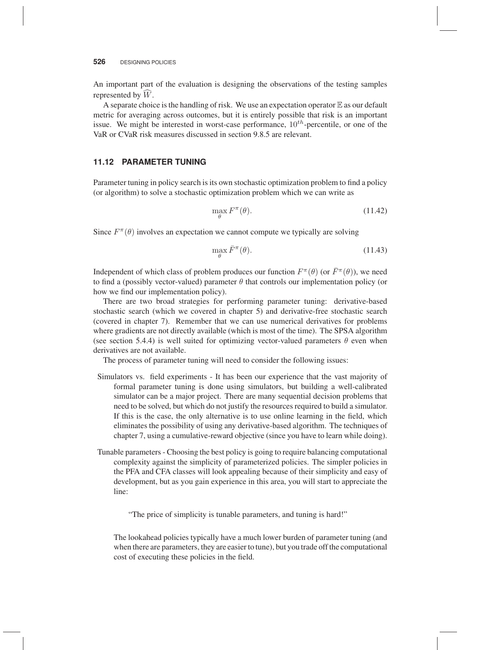An important part of the evaluation is designing the observations of the testing samples represented by  $\widehat{W}$ .

A separate choice is the handling of risk. We use an expectation operator  $\mathbb E$  as our default metric for averaging across outcomes, but it is entirely possible that risk is an important issue. We might be interested in worst-case performance,  $10^{th}$ -percentile, or one of the VaR or CVaR risk measures discussed in section 9.8.5 are relevant.

# **11.12 PARAMETER TUNING**

Parameter tuning in policy search is its own stochastic optimization problem to find a policy (or algorithm) to solve a stochastic optimization problem which we can write as

$$
\max_{\theta} F^{\pi}(\theta). \tag{11.42}
$$

Since  $F^{\pi}(\theta)$  involves an expectation we cannot compute we typically are solving

$$
\max_{\theta} \bar{F}^{\pi}(\theta). \tag{11.43}
$$

Independent of which class of problem produces our function  $F^{\pi}(\theta)$  (or  $\bar{F}^{\pi}(\theta)$ ), we need to find a (possibly vector-valued) parameter  $\theta$  that controls our implementation policy (or how we find our implementation policy).

There are two broad strategies for performing parameter tuning: derivative-based stochastic search (which we covered in chapter 5) and derivative-free stochastic search (covered in chapter 7). Remember that we can use numerical derivatives for problems where gradients are not directly available (which is most of the time). The SPSA algorithm (see section 5.4.4) is well suited for optimizing vector-valued parameters  $\theta$  even when derivatives are not available.

The process of parameter tuning will need to consider the following issues:

- Simulators vs. field experiments It has been our experience that the vast majority of formal parameter tuning is done using simulators, but building a well-calibrated simulator can be a major project. There are many sequential decision problems that need to be solved, but which do not justify the resources required to build a simulator. If this is the case, the only alternative is to use online learning in the field, which eliminates the possibility of using any derivative-based algorithm. The techniques of chapter 7, using a cumulative-reward objective (since you have to learn while doing).
- Tunable parameters Choosing the best policy is going to require balancing computational complexity against the simplicity of parameterized policies. The simpler policies in the PFA and CFA classes will look appealing because of their simplicity and easy of development, but as you gain experience in this area, you will start to appreciate the line:

"The price of simplicity is tunable parameters, and tuning is hard!"

The lookahead policies typically have a much lower burden of parameter tuning (and when there are parameters, they are easier to tune), but you trade off the computational cost of executing these policies in the field.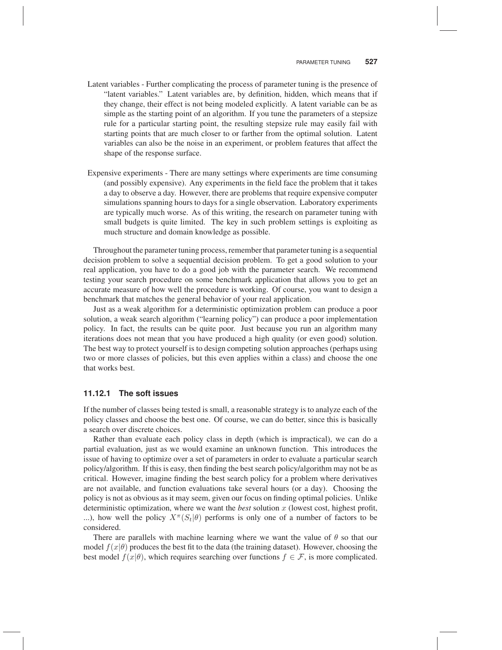- Latent variables Further complicating the process of parameter tuning is the presence of "latent variables." Latent variables are, by definition, hidden, which means that if they change, their effect is not being modeled explicitly. A latent variable can be as simple as the starting point of an algorithm. If you tune the parameters of a stepsize rule for a particular starting point, the resulting stepsize rule may easily fail with starting points that are much closer to or farther from the optimal solution. Latent variables can also be the noise in an experiment, or problem features that affect the shape of the response surface.
- Expensive experiments There are many settings where experiments are time consuming (and possibly expensive). Any experiments in the field face the problem that it takes a day to observe a day. However, there are problems that require expensive computer simulations spanning hours to days for a single observation. Laboratory experiments are typically much worse. As of this writing, the research on parameter tuning with small budgets is quite limited. The key in such problem settings is exploiting as much structure and domain knowledge as possible.

Throughout the parameter tuning process, remember that parameter tuning is a sequential decision problem to solve a sequential decision problem. To get a good solution to your real application, you have to do a good job with the parameter search. We recommend testing your search procedure on some benchmark application that allows you to get an accurate measure of how well the procedure is working. Of course, you want to design a benchmark that matches the general behavior of your real application.

Just as a weak algorithm for a deterministic optimization problem can produce a poor solution, a weak search algorithm ("learning policy") can produce a poor implementation policy. In fact, the results can be quite poor. Just because you run an algorithm many iterations does not mean that you have produced a high quality (or even good) solution. The best way to protect yourself is to design competing solution approaches (perhaps using two or more classes of policies, but this even applies within a class) and choose the one that works best.

# **11.12.1 The soft issues**

If the number of classes being tested is small, a reasonable strategy is to analyze each of the policy classes and choose the best one. Of course, we can do better, since this is basically a search over discrete choices.

Rather than evaluate each policy class in depth (which is impractical), we can do a partial evaluation, just as we would examine an unknown function. This introduces the issue of having to optimize over a set of parameters in order to evaluate a particular search policy/algorithm. If this is easy, then finding the best search policy/algorithm may not be as critical. However, imagine finding the best search policy for a problem where derivatives are not available, and function evaluations take several hours (or a day). Choosing the policy is not as obvious as it may seem, given our focus on finding optimal policies. Unlike deterministic optimization, where we want the *best* solution x (lowest cost, highest profit, ...), how well the policy  $X^{\pi}(S_t|\theta)$  performs is only one of a number of factors to be considered.

There are parallels with machine learning where we want the value of  $\theta$  so that our model  $f(x|\theta)$  produces the best fit to the data (the training dataset). However, choosing the best model  $f(x|\theta)$ , which requires searching over functions  $f \in \mathcal{F}$ , is more complicated.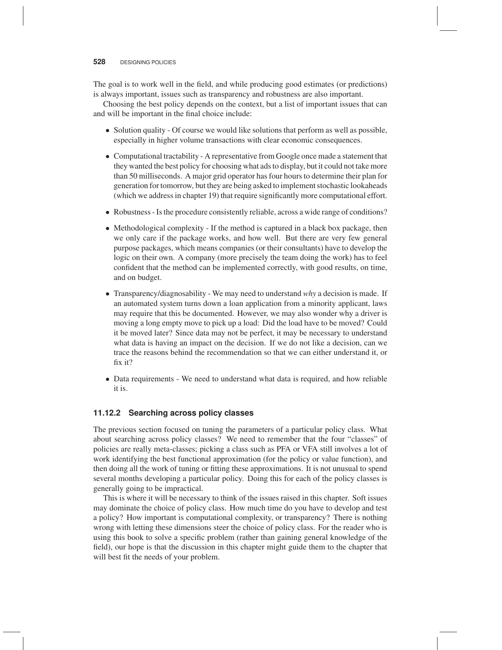The goal is to work well in the field, and while producing good estimates (or predictions) is always important, issues such as transparency and robustness are also important.

Choosing the best policy depends on the context, but a list of important issues that can and will be important in the final choice include:

- Solution quality Of course we would like solutions that perform as well as possible, especially in higher volume transactions with clear economic consequences.
- Computational tractability A representative from Google once made a statement that they wanted the best policy for choosing what ads to display, but it could not take more than 50 milliseconds. A major grid operator has four hours to determine their plan for generation for tomorrow, but they are being asked to implement stochastic lookaheads (which we address in chapter 19) that require significantly more computational effort.
- Robustness Is the procedure consistently reliable, across a wide range of conditions?
- Methodological complexity If the method is captured in a black box package, then we only care if the package works, and how well. But there are very few general purpose packages, which means companies (or their consultants) have to develop the logic on their own. A company (more precisely the team doing the work) has to feel confident that the method can be implemented correctly, with good results, on time, and on budget.
- Transparency/diagnosability We may need to understand *why* a decision is made. If an automated system turns down a loan application from a minority applicant, laws may require that this be documented. However, we may also wonder why a driver is moving a long empty move to pick up a load: Did the load have to be moved? Could it be moved later? Since data may not be perfect, it may be necessary to understand what data is having an impact on the decision. If we do not like a decision, can we trace the reasons behind the recommendation so that we can either understand it, or fix it?
- Data requirements We need to understand what data is required, and how reliable it is.

# **11.12.2 Searching across policy classes**

The previous section focused on tuning the parameters of a particular policy class. What about searching across policy classes? We need to remember that the four "classes" of policies are really meta-classes; picking a class such as PFA or VFA still involves a lot of work identifying the best functional approximation (for the policy or value function), and then doing all the work of tuning or fitting these approximations. It is not unusual to spend several months developing a particular policy. Doing this for each of the policy classes is generally going to be impractical.

This is where it will be necessary to think of the issues raised in this chapter. Soft issues may dominate the choice of policy class. How much time do you have to develop and test a policy? How important is computational complexity, or transparency? There is nothing wrong with letting these dimensions steer the choice of policy class. For the reader who is using this book to solve a specific problem (rather than gaining general knowledge of the field), our hope is that the discussion in this chapter might guide them to the chapter that will best fit the needs of your problem.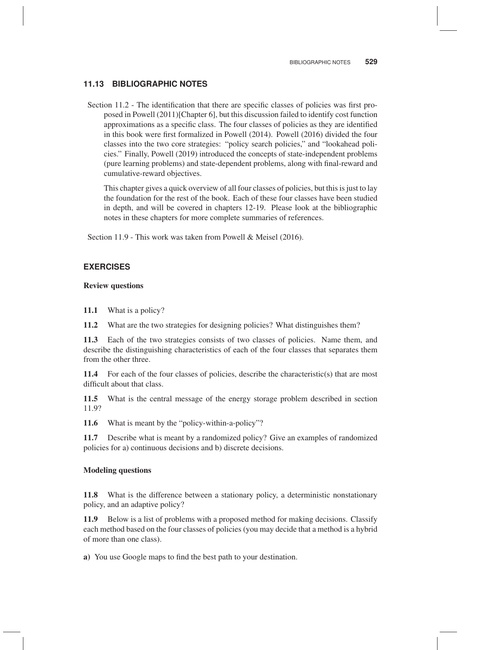# **11.13 BIBLIOGRAPHIC NOTES**

Section 11.2 - The identification that there are specific classes of policies was first proposed in Powell (2011)[Chapter 6], but this discussion failed to identify cost function approximations as a specific class. The four classes of policies as they are identified in this book were first formalized in Powell (2014). Powell (2016) divided the four classes into the two core strategies: "policy search policies," and "lookahead policies." Finally, Powell (2019) introduced the concepts of state-independent problems (pure learning problems) and state-dependent problems, along with final-reward and cumulative-reward objectives.

This chapter gives a quick overview of all four classes of policies, but this is just to lay the foundation for the rest of the book. Each of these four classes have been studied in depth, and will be covered in chapters 12-19. Please look at the bibliographic notes in these chapters for more complete summaries of references.

Section 11.9 - This work was taken from Powell & Meisel (2016).

# **EXERCISES**

#### Review questions

11.1 What is a policy?

11.2 What are the two strategies for designing policies? What distinguishes them?

11.3 Each of the two strategies consists of two classes of policies. Name them, and describe the distinguishing characteristics of each of the four classes that separates them from the other three.

11.4 For each of the four classes of policies, describe the characteristic(s) that are most difficult about that class.

11.5 What is the central message of the energy storage problem described in section 11.9?

11.6 What is meant by the "policy-within-a-policy"?

11.7 Describe what is meant by a randomized policy? Give an examples of randomized policies for a) continuous decisions and b) discrete decisions.

# Modeling questions

11.8 What is the difference between a stationary policy, a deterministic nonstationary policy, and an adaptive policy?

11.9 Below is a list of problems with a proposed method for making decisions. Classify each method based on the four classes of policies (you may decide that a method is a hybrid of more than one class).

a) You use Google maps to find the best path to your destination.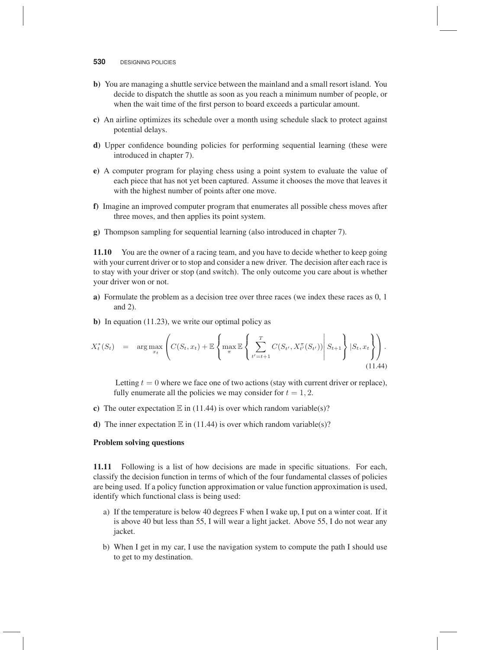- b) You are managing a shuttle service between the mainland and a small resort island. You decide to dispatch the shuttle as soon as you reach a minimum number of people, or when the wait time of the first person to board exceeds a particular amount.
- c) An airline optimizes its schedule over a month using schedule slack to protect against potential delays.
- d) Upper confidence bounding policies for performing sequential learning (these were introduced in chapter 7).
- e) A computer program for playing chess using a point system to evaluate the value of each piece that has not yet been captured. Assume it chooses the move that leaves it with the highest number of points after one move.
- f) Imagine an improved computer program that enumerates all possible chess moves after three moves, and then applies its point system.
- g) Thompson sampling for sequential learning (also introduced in chapter 7).

11.10 You are the owner of a racing team, and you have to decide whether to keep going with your current driver or to stop and consider a new driver. The decision after each race is to stay with your driver or stop (and switch). The only outcome you care about is whether your driver won or not.

- a) Formulate the problem as a decision tree over three races (we index these races as 0, 1 and 2).
- b) In equation (11.23), we write our optimal policy as

$$
X_t^*(S_t) = \arg \max_{x_t} \left( C(S_t, x_t) + \mathbb{E} \left\{ \max_{\pi} \mathbb{E} \left\{ \sum_{t'=t+1}^T C(S_{t'}, X_{t'}^{\pi}(S_{t'})) \middle| S_{t+1} \right\} | S_t, x_t \right\} \right). \tag{11.44}
$$

Letting  $t = 0$  where we face one of two actions (stay with current driver or replace), fully enumerate all the policies we may consider for  $t = 1, 2$ .

- c) The outer expectation  $\mathbb E$  in (11.44) is over which random variable(s)?
- d) The inner expectation  $\mathbb E$  in (11.44) is over which random variable(s)?

# Problem solving questions

11.11 Following is a list of how decisions are made in specific situations. For each, classify the decision function in terms of which of the four fundamental classes of policies are being used. If a policy function approximation or value function approximation is used, identify which functional class is being used:

- a) If the temperature is below 40 degrees F when I wake up, I put on a winter coat. If it is above 40 but less than 55, I will wear a light jacket. Above 55, I do not wear any jacket.
- b) When I get in my car, I use the navigation system to compute the path I should use to get to my destination.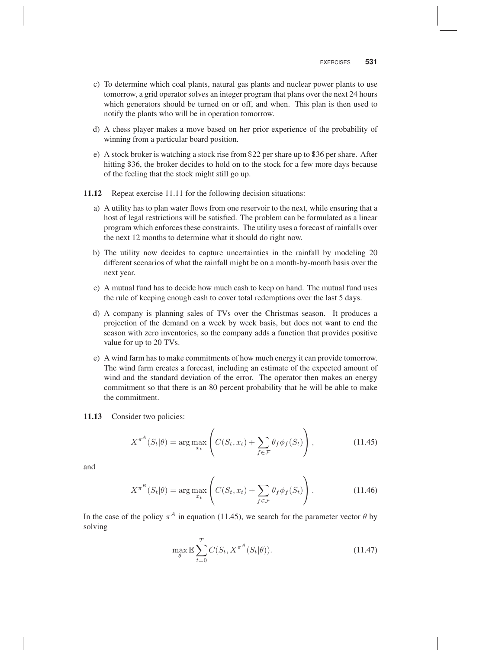- c) To determine which coal plants, natural gas plants and nuclear power plants to use tomorrow, a grid operator solves an integer program that plans over the next 24 hours which generators should be turned on or off, and when. This plan is then used to notify the plants who will be in operation tomorrow.
- d) A chess player makes a move based on her prior experience of the probability of winning from a particular board position.
- e) A stock broker is watching a stock rise from \$22 per share up to \$36 per share. After hitting 36, the broker decides to hold on to the stock for a few more days because of the feeling that the stock might still go up.
- 11.12 Repeat exercise 11.11 for the following decision situations:
	- a) A utility has to plan water flows from one reservoir to the next, while ensuring that a host of legal restrictions will be satisfied. The problem can be formulated as a linear program which enforces these constraints. The utility uses a forecast of rainfalls over the next 12 months to determine what it should do right now.
	- b) The utility now decides to capture uncertainties in the rainfall by modeling 20 different scenarios of what the rainfall might be on a month-by-month basis over the next year.
	- c) A mutual fund has to decide how much cash to keep on hand. The mutual fund uses the rule of keeping enough cash to cover total redemptions over the last 5 days.
	- d) A company is planning sales of TVs over the Christmas season. It produces a projection of the demand on a week by week basis, but does not want to end the season with zero inventories, so the company adds a function that provides positive value for up to 20 TVs.
	- e) A wind farm has to make commitments of how much energy it can provide tomorrow. The wind farm creates a forecast, including an estimate of the expected amount of wind and the standard deviation of the error. The operator then makes an energy commitment so that there is an 80 percent probability that he will be able to make the commitment.
- 11.13 Consider two policies:

$$
X^{\pi^A}(S_t|\theta) = \arg\max_{x_t} \left( C(S_t, x_t) + \sum_{f \in \mathcal{F}} \theta_f \phi_f(S_t) \right), \tag{11.45}
$$

and

$$
X^{\pi^B}(S_t|\theta) = \arg\max_{x_t} \left( C(S_t, x_t) + \sum_{f \in \mathcal{F}} \theta_f \phi_f(S_t) \right). \tag{11.46}
$$

In the case of the policy  $\pi^{A}$  in equation (11.45), we search for the parameter vector  $\theta$  by solving

$$
\max_{\theta} \mathbb{E} \sum_{t=0}^{T} C(S_t, X^{\pi^A}(S_t | \theta)).
$$
\n(11.47)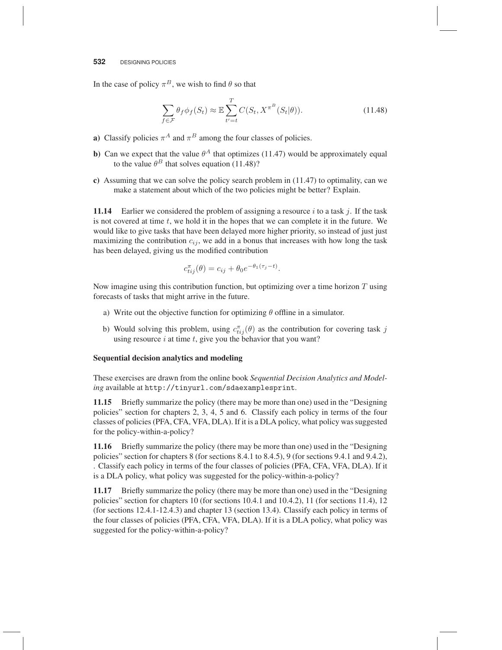In the case of policy  $\pi^B$ , we wish to find  $\theta$  so that

$$
\sum_{f \in \mathcal{F}} \theta_f \phi_f(S_t) \approx \mathbb{E} \sum_{t'=t}^{T} C(S_t, X^{\pi^B}(S_t | \theta)).
$$
\n(11.48)

- a) Classify policies  $\pi^A$  and  $\pi^B$  among the four classes of policies.
- b) Can we expect that the value  $\theta^A$  that optimizes (11.47) would be approximately equal to the value  $\theta^B$  that solves equation (11.48)?
- c) Assuming that we can solve the policy search problem in (11.47) to optimality, can we make a statement about which of the two policies might be better? Explain.

**11.14** Earlier we considered the problem of assigning a resource i to a task j. If the task is not covered at time  $t$ , we hold it in the hopes that we can complete it in the future. We would like to give tasks that have been delayed more higher priority, so instead of just just maximizing the contribution  $c_{ij}$ , we add in a bonus that increases with how long the task has been delayed, giving us the modified contribution

$$
c_{tij}^{\pi}(\theta) = c_{ij} + \theta_0 e^{-\theta_1(\tau_j - t)}.
$$

Now imagine using this contribution function, but optimizing over a time horizon  $T$  using forecasts of tasks that might arrive in the future.

- a) Write out the objective function for optimizing  $\theta$  offline in a simulator.
- b) Would solving this problem, using  $c_{tij}^{\pi}(\theta)$  as the contribution for covering task justing resource *i* at time *t* give you the behavior that you want? using resource  $i$  at time  $t$ , give you the behavior that you want?

#### Sequential decision analytics and modeling

These exercises are drawn from the online book *Sequential Decision Analytics and Modeling* available at http://tinyurl.com/sdaexamplesprint.

11.15 Briefly summarize the policy (there may be more than one) used in the "Designing policies" section for chapters 2, 3, 4, 5 and 6. Classify each policy in terms of the four classes of policies (PFA, CFA, VFA, DLA). If it is a DLA policy, what policy was suggested for the policy-within-a-policy?

11.16 Briefly summarize the policy (there may be more than one) used in the "Designing policies" section for chapters 8 (for sections 8.4.1 to 8.4.5), 9 (for sections 9.4.1 and 9.4.2), . Classify each policy in terms of the four classes of policies (PFA, CFA, VFA, DLA). If it is a DLA policy, what policy was suggested for the policy-within-a-policy?

11.17 Briefly summarize the policy (there may be more than one) used in the "Designing policies" section for chapters 10 (for sections 10.4.1 and 10.4.2), 11 (for sections 11.4), 12 (for sections 12.4.1-12.4.3) and chapter 13 (section 13.4). Classify each policy in terms of the four classes of policies (PFA, CFA, VFA, DLA). If it is a DLA policy, what policy was suggested for the policy-within-a-policy?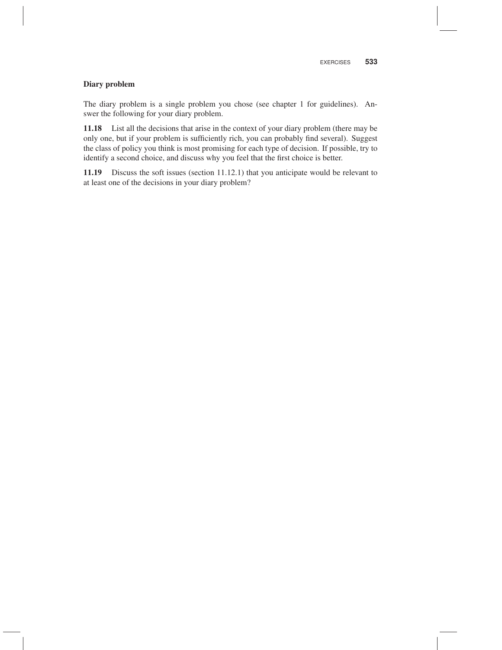# Diary problem

The diary problem is a single problem you chose (see chapter 1 for guidelines). Answer the following for your diary problem.

11.18 List all the decisions that arise in the context of your diary problem (there may be only one, but if your problem is sufficiently rich, you can probably find several). Suggest the class of policy you think is most promising for each type of decision. If possible, try to identify a second choice, and discuss why you feel that the first choice is better.

11.19 Discuss the soft issues (section 11.12.1) that you anticipate would be relevant to at least one of the decisions in your diary problem?